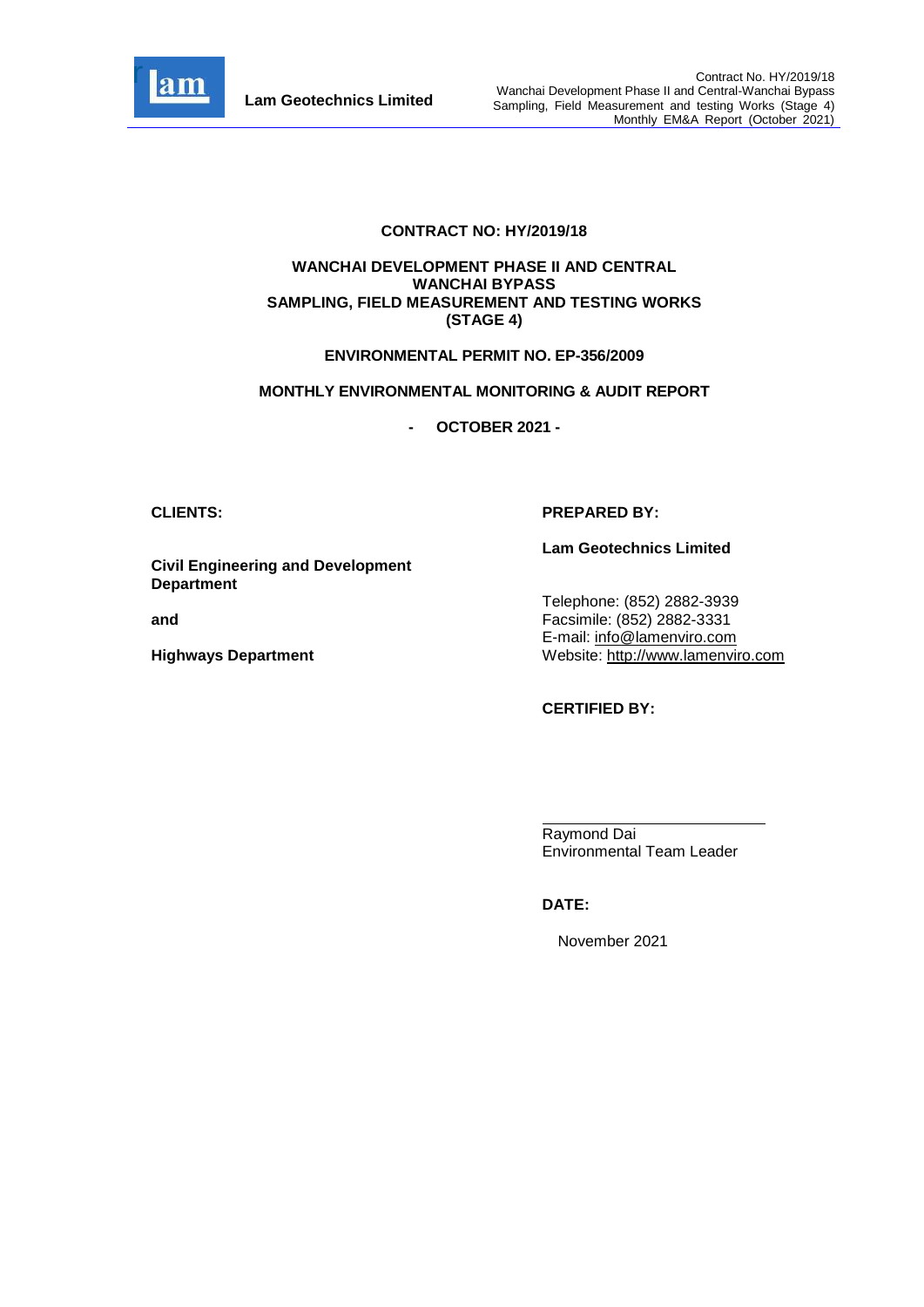

#### **CONTRACT NO: HY/2019/18**

#### **WANCHAI DEVELOPMENT PHASE II AND CENTRAL WANCHAI BYPASS SAMPLING, FIELD MEASUREMENT AND TESTING WORKS (STAGE 4)**

#### **ENVIRONMENTAL PERMIT NO. EP-356/2009**

#### **MONTHLY ENVIRONMENTAL MONITORING & AUDIT REPORT**

**- OCTOBER 2021 -**

# **Civil Engineering and Development Department**

**and** 

**Highways Department**

#### **CLIENTS: PREPARED BY:**

**Lam Geotechnics Limited**

Telephone: (852) 2882-3939 Facsimile: (852) 2882-3331 E-mail: [info@lamenviro.com](mailto:info@lamenviro.com) Website: [http://www.lamenviro.com](http://www.lamenviro.com/)

**CERTIFIED BY:**

Raymond Dai Environmental Team Leader

## **DATE:**

November 2021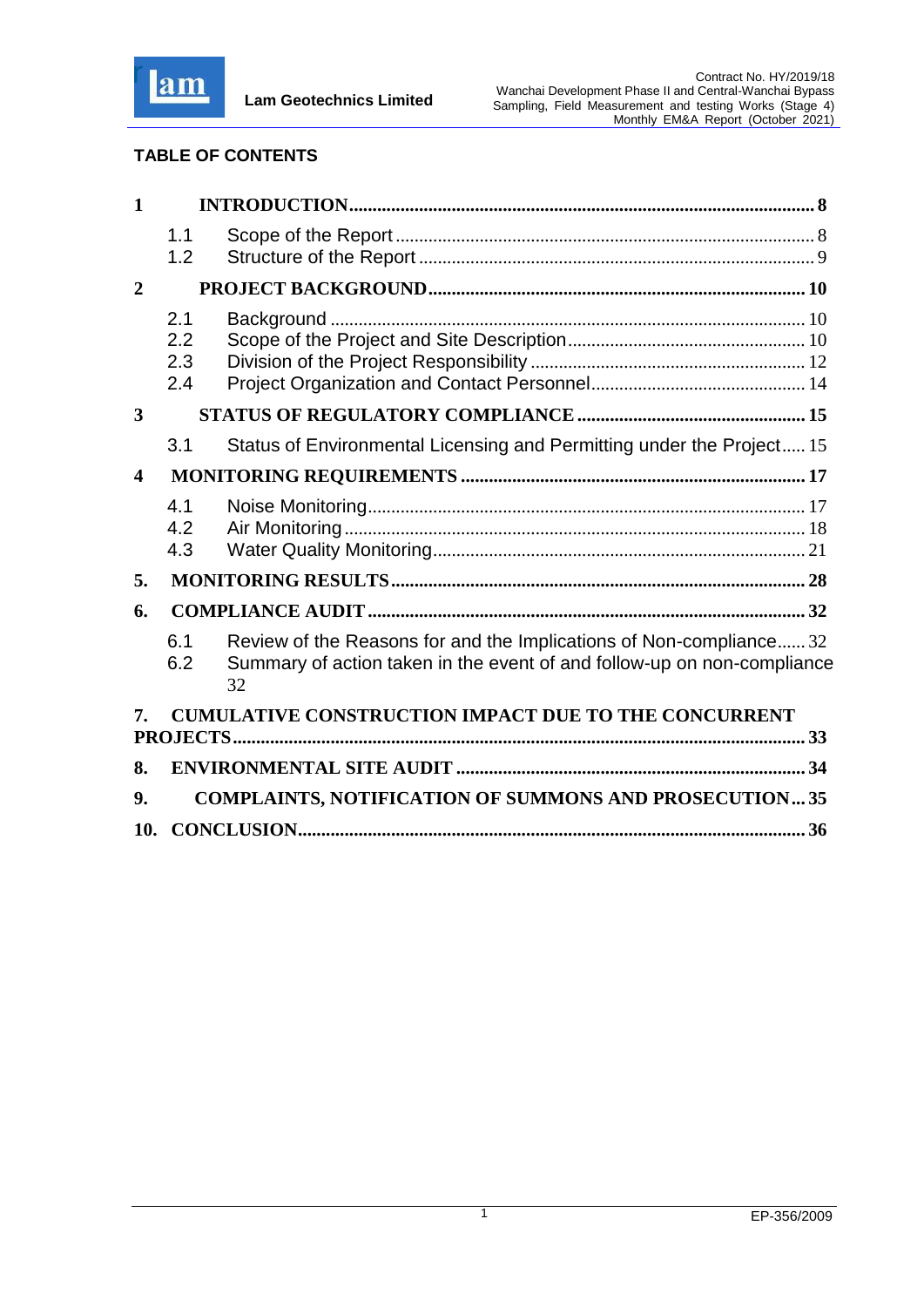

# **TABLE OF CONTENTS**

| $\mathbf{1}$            |                          |                                                                                                                                                     |  |  |
|-------------------------|--------------------------|-----------------------------------------------------------------------------------------------------------------------------------------------------|--|--|
|                         | 1.1<br>1.2               |                                                                                                                                                     |  |  |
| $\overline{2}$          |                          |                                                                                                                                                     |  |  |
|                         | 2.1<br>2.2<br>2.3<br>2.4 |                                                                                                                                                     |  |  |
| 3                       |                          |                                                                                                                                                     |  |  |
|                         | 3.1                      | Status of Environmental Licensing and Permitting under the Project 15                                                                               |  |  |
| $\overline{\mathbf{4}}$ |                          |                                                                                                                                                     |  |  |
|                         | 4.1<br>4.2<br>4.3        |                                                                                                                                                     |  |  |
| 5.                      |                          |                                                                                                                                                     |  |  |
| 6.                      |                          |                                                                                                                                                     |  |  |
|                         | 6.1<br>6.2               | Review of the Reasons for and the Implications of Non-compliance32<br>Summary of action taken in the event of and follow-up on non-compliance<br>32 |  |  |
| 7.                      |                          | <b>CUMULATIVE CONSTRUCTION IMPACT DUE TO THE CONCURRENT</b>                                                                                         |  |  |
| 8.                      |                          |                                                                                                                                                     |  |  |
| 9.                      |                          | <b>COMPLAINTS, NOTIFICATION OF SUMMONS AND PROSECUTION35</b>                                                                                        |  |  |
| 10.                     |                          |                                                                                                                                                     |  |  |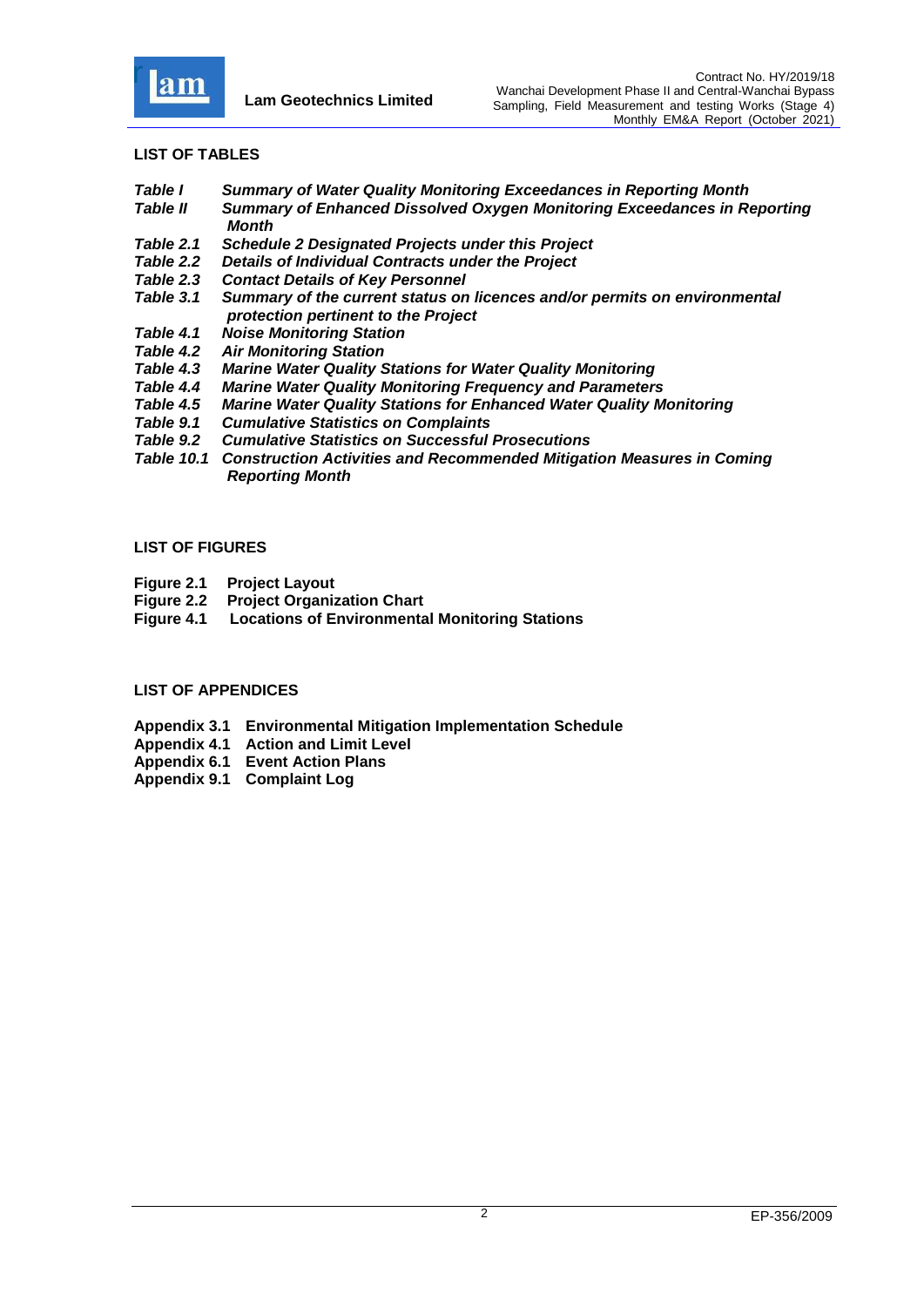

#### **LIST OF TABLES**

- *Table I Summary of Water Quality Monitoring Exceedances in Reporting Month*
- *Table II Summary of Enhanced Dissolved Oxygen Monitoring Exceedances in Reporting Month*
- *[Table 2.1 Schedule 2 Designated Projects under this Project](#page-11-0)*
- *Table 2.2 [Details of Individual Contracts under the Project](#page-12-1)*
- *Table 2.3 [Contact Details of Key Personnel](#page-14-1)*
- *Table 3.1 [Summary of the current status on licences and/or permits on environmental](#page-15-2)  [protection pertinent to the Project](#page-15-2)*
- *Table 4.1 [Noise Monitoring Station](#page-17-2)*
- *Table 4.2 [Air Monitoring Station](#page-22-0)*
- *Table 4.3 [Marine Water Quality Stations for Water Quality Monitoring](#page-22-0)*
- **[Marine Water Quality Monitoring Frequency and Parameters](#page-23-0)**
- *Table 4.5 [Marine Water Quality Stations for Enhanced Water Quality Monitoring](#page-26-0)*
- *Table 9.1 [Cumulative Statistics on Complaints](#page-35-1)*
- *Table 9.2 [Cumulative Statistics on Successful Prosecutions](#page-35-2)*
- *Table 10.1 Construction Activities and Recommended Mitigation Measures in Coming Reporting Month*

#### **LIST OF FIGURES**

- **Figure 2.1 [Project Layout](../Attachment/Fig%202.1_Project%20Layout.pdf)**
- **Figure 2.2 [Project Organization Chart](../Attachment/Fig%202.2%20Project%20Organization%20Chart.pdf)**
- **Figure 4.1 [Locations of Environmental Monitoring Stations](../Attachment/Fig%204.1_Location%20of%20monitoring%20stations.pdf)**

#### **LIST OF APPENDICES**

- **Appendix 3.1 [Environmental Mitigation Implementation Schedule](../Attachment/App3.1%20EMIS.pdf)**
- **Appendix 4.1 [Action and Limit Level](../Attachment/App4.1%20Action%20and%20Limit%20Level.pdf)**
- **Appendix 6.1 [Event Action Plans](../Attachment/App6.1_Event%20and%20Action%20Plan.pdf)**
- **Appendix 9.1 [Complaint Log](../Attachment/App9.1%20Complaint%20Log.pdf)**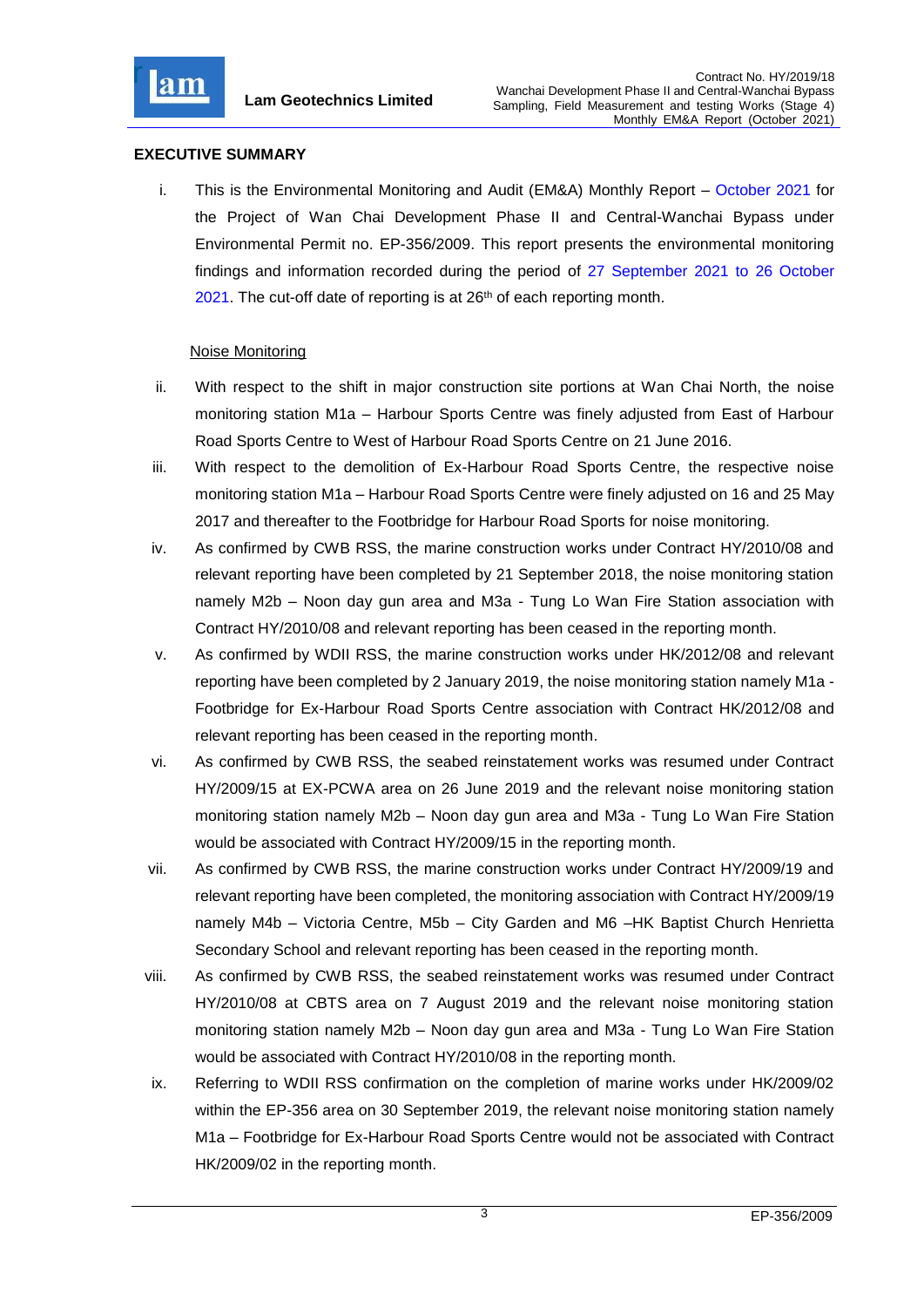

# **EXECUTIVE SUMMARY**

i. This is the Environmental Monitoring and Audit (EM&A) Monthly Report – October 2021 for the Project of Wan Chai Development Phase II and Central-Wanchai Bypass under Environmental Permit no. EP-356/2009. This report presents the environmental monitoring findings and information recorded during the period of 27 September 2021 to 26 October 2021. The cut-off date of reporting is at 26<sup>th</sup> of each reporting month.

## Noise Monitoring

- ii. With respect to the shift in major construction site portions at Wan Chai North, the noise monitoring station M1a – Harbour Sports Centre was finely adjusted from East of Harbour Road Sports Centre to West of Harbour Road Sports Centre on 21 June 2016.
- iii. With respect to the demolition of Ex-Harbour Road Sports Centre, the respective noise monitoring station M1a – Harbour Road Sports Centre were finely adjusted on 16 and 25 May 2017 and thereafter to the Footbridge for Harbour Road Sports for noise monitoring.
- iv. As confirmed by CWB RSS, the marine construction works under Contract HY/2010/08 and relevant reporting have been completed by 21 September 2018, the noise monitoring station namely M2b – Noon day gun area and M3a - Tung Lo Wan Fire Station association with Contract HY/2010/08 and relevant reporting has been ceased in the reporting month.
- v. As confirmed by WDII RSS, the marine construction works under HK/2012/08 and relevant reporting have been completed by 2 January 2019, the noise monitoring station namely M1a - Footbridge for Ex-Harbour Road Sports Centre association with Contract HK/2012/08 and relevant reporting has been ceased in the reporting month.
- vi. As confirmed by CWB RSS, the seabed reinstatement works was resumed under Contract HY/2009/15 at EX-PCWA area on 26 June 2019 and the relevant noise monitoring station monitoring station namely M2b – Noon day gun area and M3a - Tung Lo Wan Fire Station would be associated with Contract HY/2009/15 in the reporting month.
- vii. As confirmed by CWB RSS, the marine construction works under Contract HY/2009/19 and relevant reporting have been completed, the monitoring association with Contract HY/2009/19 namely M4b – Victoria Centre, M5b – City Garden and M6 –HK Baptist Church Henrietta Secondary School and relevant reporting has been ceased in the reporting month.
- viii. As confirmed by CWB RSS, the seabed reinstatement works was resumed under Contract HY/2010/08 at CBTS area on 7 August 2019 and the relevant noise monitoring station monitoring station namely M2b – Noon day gun area and M3a - Tung Lo Wan Fire Station would be associated with Contract HY/2010/08 in the reporting month.
- ix. Referring to WDII RSS confirmation on the completion of marine works under HK/2009/02 within the EP-356 area on 30 September 2019, the relevant noise monitoring station namely M1a – Footbridge for Ex-Harbour Road Sports Centre would not be associated with Contract HK/2009/02 in the reporting month.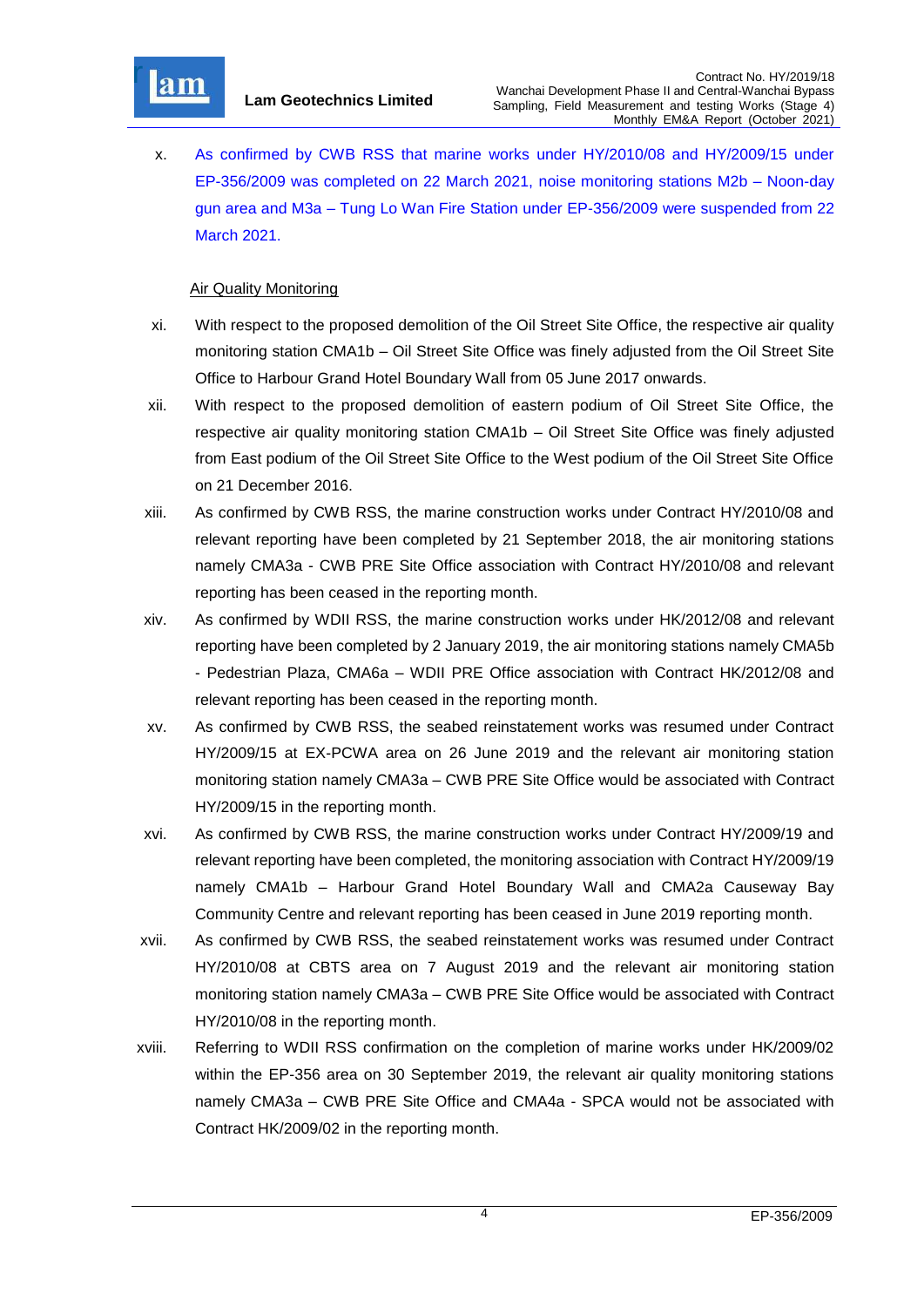

x. As confirmed by CWB RSS that marine works under HY/2010/08 and HY/2009/15 under EP-356/2009 was completed on 22 March 2021, noise monitoring stations M2b – Noon-day gun area and M3a – Tung Lo Wan Fire Station under EP-356/2009 were suspended from 22 March 2021.

## Air Quality Monitoring

- xi. With respect to the proposed demolition of the Oil Street Site Office, the respective air quality monitoring station CMA1b – Oil Street Site Office was finely adjusted from the Oil Street Site Office to Harbour Grand Hotel Boundary Wall from 05 June 2017 onwards.
- xii. With respect to the proposed demolition of eastern podium of Oil Street Site Office, the respective air quality monitoring station CMA1b – Oil Street Site Office was finely adjusted from East podium of the Oil Street Site Office to the West podium of the Oil Street Site Office on 21 December 2016.
- xiii. As confirmed by CWB RSS, the marine construction works under Contract HY/2010/08 and relevant reporting have been completed by 21 September 2018, the air monitoring stations namely CMA3a - CWB PRE Site Office association with Contract HY/2010/08 and relevant reporting has been ceased in the reporting month.
- xiv. As confirmed by WDII RSS, the marine construction works under HK/2012/08 and relevant reporting have been completed by 2 January 2019, the air monitoring stations namely CMA5b - Pedestrian Plaza, CMA6a – WDII PRE Office association with Contract HK/2012/08 and relevant reporting has been ceased in the reporting month.
- xv. As confirmed by CWB RSS, the seabed reinstatement works was resumed under Contract HY/2009/15 at EX-PCWA area on 26 June 2019 and the relevant air monitoring station monitoring station namely CMA3a – CWB PRE Site Office would be associated with Contract HY/2009/15 in the reporting month.
- xvi. As confirmed by CWB RSS, the marine construction works under Contract HY/2009/19 and relevant reporting have been completed, the monitoring association with Contract HY/2009/19 namely CMA1b – Harbour Grand Hotel Boundary Wall and CMA2a Causeway Bay Community Centre and relevant reporting has been ceased in June 2019 reporting month.
- xvii. As confirmed by CWB RSS, the seabed reinstatement works was resumed under Contract HY/2010/08 at CBTS area on 7 August 2019 and the relevant air monitoring station monitoring station namely CMA3a – CWB PRE Site Office would be associated with Contract HY/2010/08 in the reporting month.
- xviii. Referring to WDII RSS confirmation on the completion of marine works under HK/2009/02 within the EP-356 area on 30 September 2019, the relevant air quality monitoring stations namely CMA3a – CWB PRE Site Office and CMA4a - SPCA would not be associated with Contract HK/2009/02 in the reporting month.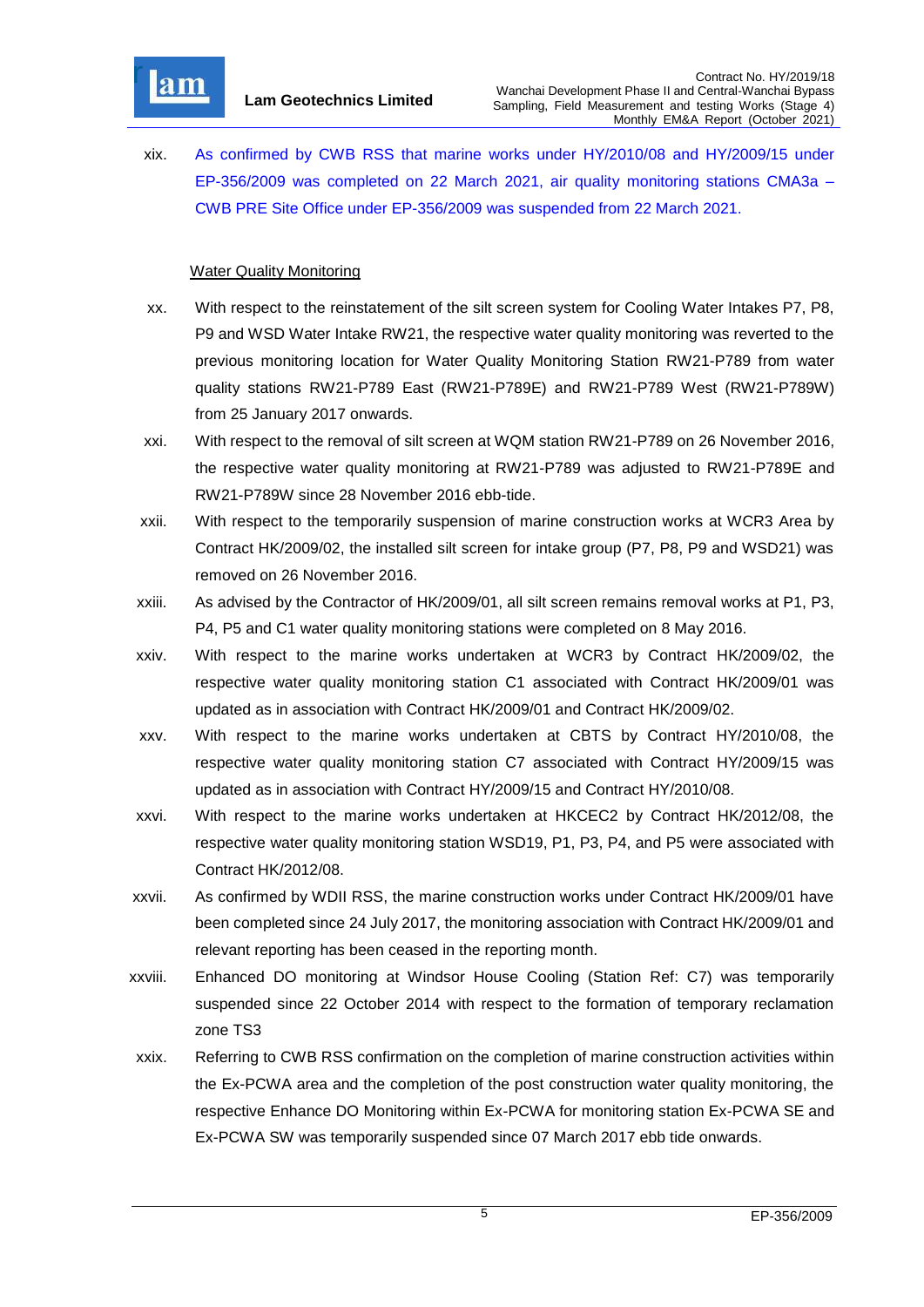

xix. As confirmed by CWB RSS that marine works under HY/2010/08 and HY/2009/15 under EP-356/2009 was completed on 22 March 2021, air quality monitoring stations CMA3a – CWB PRE Site Office under EP-356/2009 was suspended from 22 March 2021.

# **Water Quality Monitoring**

- xx. With respect to the reinstatement of the silt screen system for Cooling Water Intakes P7, P8, P9 and WSD Water Intake RW21, the respective water quality monitoring was reverted to the previous monitoring location for Water Quality Monitoring Station RW21-P789 from water quality stations RW21-P789 East (RW21-P789E) and RW21-P789 West (RW21-P789W) from 25 January 2017 onwards.
- xxi. With respect to the removal of silt screen at WQM station RW21-P789 on 26 November 2016, the respective water quality monitoring at RW21-P789 was adjusted to RW21-P789E and RW21-P789W since 28 November 2016 ebb-tide.
- xxii. With respect to the temporarily suspension of marine construction works at WCR3 Area by Contract HK/2009/02, the installed silt screen for intake group (P7, P8, P9 and WSD21) was removed on 26 November 2016.
- xxiii. As advised by the Contractor of HK/2009/01, all silt screen remains removal works at P1, P3, P4, P5 and C1 water quality monitoring stations were completed on 8 May 2016.
- xxiv. With respect to the marine works undertaken at WCR3 by Contract HK/2009/02, the respective water quality monitoring station C1 associated with Contract HK/2009/01 was updated as in association with Contract HK/2009/01 and Contract HK/2009/02.
- xxv. With respect to the marine works undertaken at CBTS by Contract HY/2010/08, the respective water quality monitoring station C7 associated with Contract HY/2009/15 was updated as in association with Contract HY/2009/15 and Contract HY/2010/08.
- xxvi. With respect to the marine works undertaken at HKCEC2 by Contract HK/2012/08, the respective water quality monitoring station WSD19, P1, P3, P4, and P5 were associated with Contract HK/2012/08.
- xxvii. As confirmed by WDII RSS, the marine construction works under Contract HK/2009/01 have been completed since 24 July 2017, the monitoring association with Contract HK/2009/01 and relevant reporting has been ceased in the reporting month.
- xxviii. Enhanced DO monitoring at Windsor House Cooling (Station Ref: C7) was temporarily suspended since 22 October 2014 with respect to the formation of temporary reclamation zone TS3
- xxix. Referring to CWB RSS confirmation on the completion of marine construction activities within the Ex-PCWA area and the completion of the post construction water quality monitoring, the respective Enhance DO Monitoring within Ex-PCWA for monitoring station Ex-PCWA SE and Ex-PCWA SW was temporarily suspended since 07 March 2017 ebb tide onwards.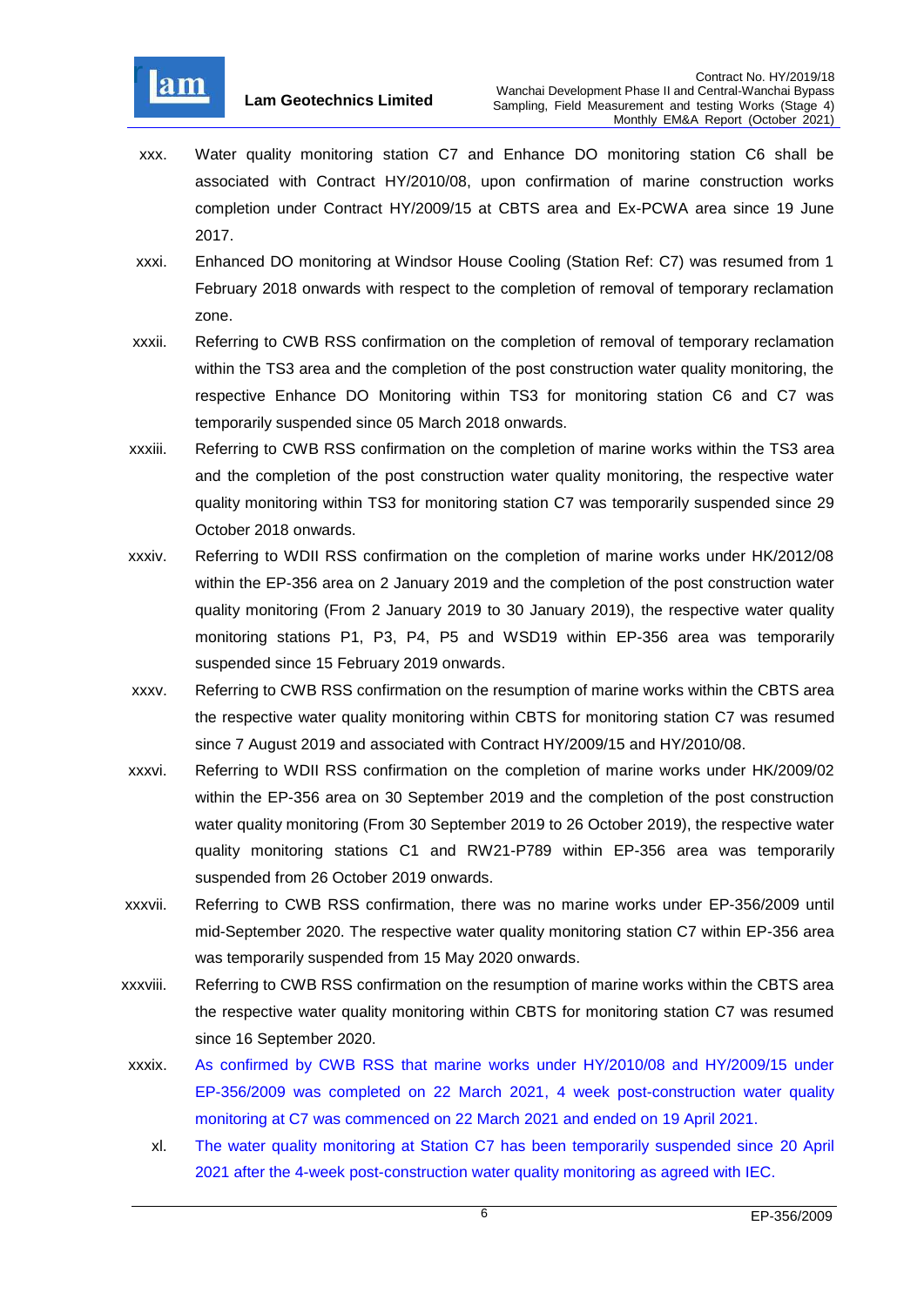

- xxx. Water quality monitoring station C7 and Enhance DO monitoring station C6 shall be associated with Contract HY/2010/08, upon confirmation of marine construction works completion under Contract HY/2009/15 at CBTS area and Ex-PCWA area since 19 June 2017.
- xxxi. Enhanced DO monitoring at Windsor House Cooling (Station Ref: C7) was resumed from 1 February 2018 onwards with respect to the completion of removal of temporary reclamation zone.
- xxxii. Referring to CWB RSS confirmation on the completion of removal of temporary reclamation within the TS3 area and the completion of the post construction water quality monitoring, the respective Enhance DO Monitoring within TS3 for monitoring station C6 and C7 was temporarily suspended since 05 March 2018 onwards.
- xxxiii. Referring to CWB RSS confirmation on the completion of marine works within the TS3 area and the completion of the post construction water quality monitoring, the respective water quality monitoring within TS3 for monitoring station C7 was temporarily suspended since 29 October 2018 onwards.
- xxxiv. Referring to WDII RSS confirmation on the completion of marine works under HK/2012/08 within the EP-356 area on 2 January 2019 and the completion of the post construction water quality monitoring (From 2 January 2019 to 30 January 2019), the respective water quality monitoring stations P1, P3, P4, P5 and WSD19 within EP-356 area was temporarily suspended since 15 February 2019 onwards.
- xxxv. Referring to CWB RSS confirmation on the resumption of marine works within the CBTS area the respective water quality monitoring within CBTS for monitoring station C7 was resumed since 7 August 2019 and associated with Contract HY/2009/15 and HY/2010/08.
- xxxvi. Referring to WDII RSS confirmation on the completion of marine works under HK/2009/02 within the EP-356 area on 30 September 2019 and the completion of the post construction water quality monitoring (From 30 September 2019 to 26 October 2019), the respective water quality monitoring stations C1 and RW21-P789 within EP-356 area was temporarily suspended from 26 October 2019 onwards.
- xxxvii. Referring to CWB RSS confirmation, there was no marine works under EP-356/2009 until mid-September 2020. The respective water quality monitoring station C7 within EP-356 area was temporarily suspended from 15 May 2020 onwards.
- xxxviii. Referring to CWB RSS confirmation on the resumption of marine works within the CBTS area the respective water quality monitoring within CBTS for monitoring station C7 was resumed since 16 September 2020.
- xxxix. As confirmed by CWB RSS that marine works under HY/2010/08 and HY/2009/15 under EP-356/2009 was completed on 22 March 2021, 4 week post-construction water quality monitoring at C7 was commenced on 22 March 2021 and ended on 19 April 2021.
	- xl. The water quality monitoring at Station C7 has been temporarily suspended since 20 April 2021 after the 4-week post-construction water quality monitoring as agreed with IEC.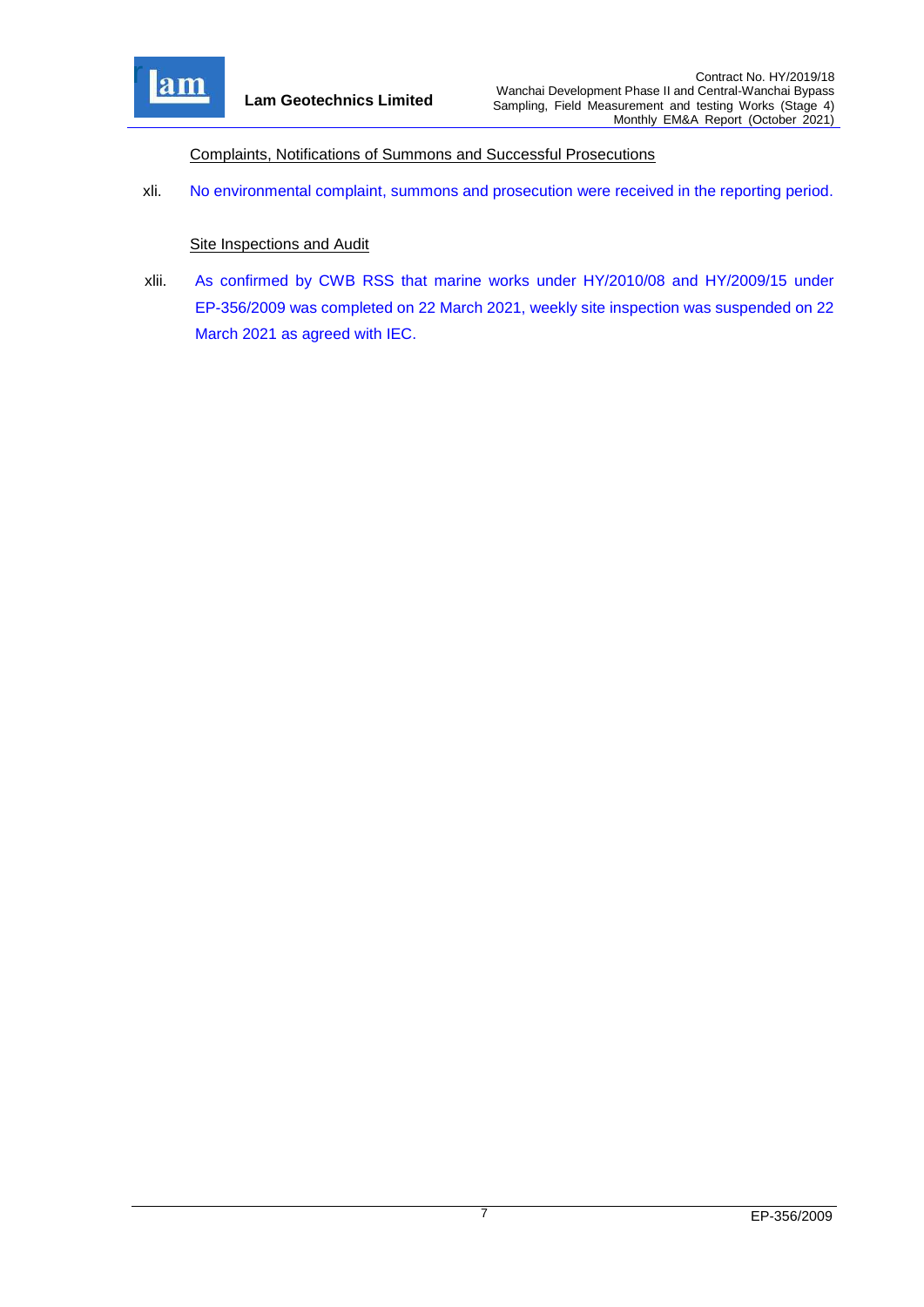

Complaints, Notifications of Summons and Successful Prosecutions

xli. No environmental complaint, summons and prosecution were received in the reporting period.

#### **Site Inspections and Audit**

xlii. As confirmed by CWB RSS that marine works under HY/2010/08 and HY/2009/15 under EP-356/2009 was completed on 22 March 2021, weekly site inspection was suspended on 22 March 2021 as agreed with IEC.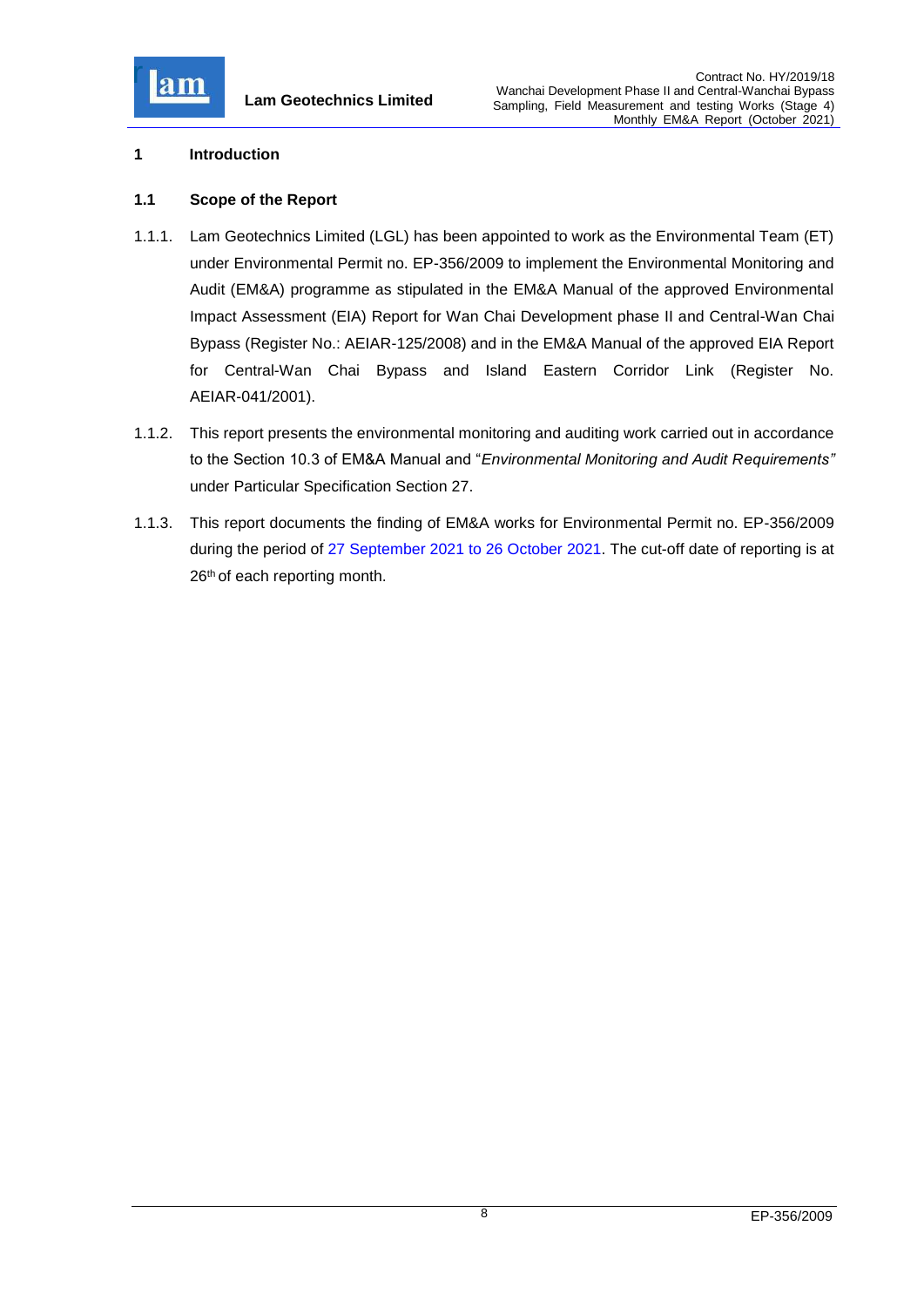

#### <span id="page-8-0"></span>**1 Introduction**

## <span id="page-8-1"></span>**1.1 Scope of the Report**

- 1.1.1. Lam Geotechnics Limited (LGL) has been appointed to work as the Environmental Team (ET) under Environmental Permit no. EP-356/2009 to implement the Environmental Monitoring and Audit (EM&A) programme as stipulated in the EM&A Manual of the approved Environmental Impact Assessment (EIA) Report for Wan Chai Development phase II and Central-Wan Chai Bypass (Register No.: AEIAR-125/2008) and in the EM&A Manual of the approved EIA Report for Central-Wan Chai Bypass and Island Eastern Corridor Link (Register No. AEIAR-041/2001).
- 1.1.2. This report presents the environmental monitoring and auditing work carried out in accordance to the Section 10.3 of EM&A Manual and "*Environmental Monitoring and Audit Requirements"* under Particular Specification Section 27.
- 1.1.3. This report documents the finding of EM&A works for Environmental Permit no. EP-356/2009 during the period of 27 September 2021 to 26 October 2021. The cut-off date of reporting is at 26<sup>th</sup> of each reporting month.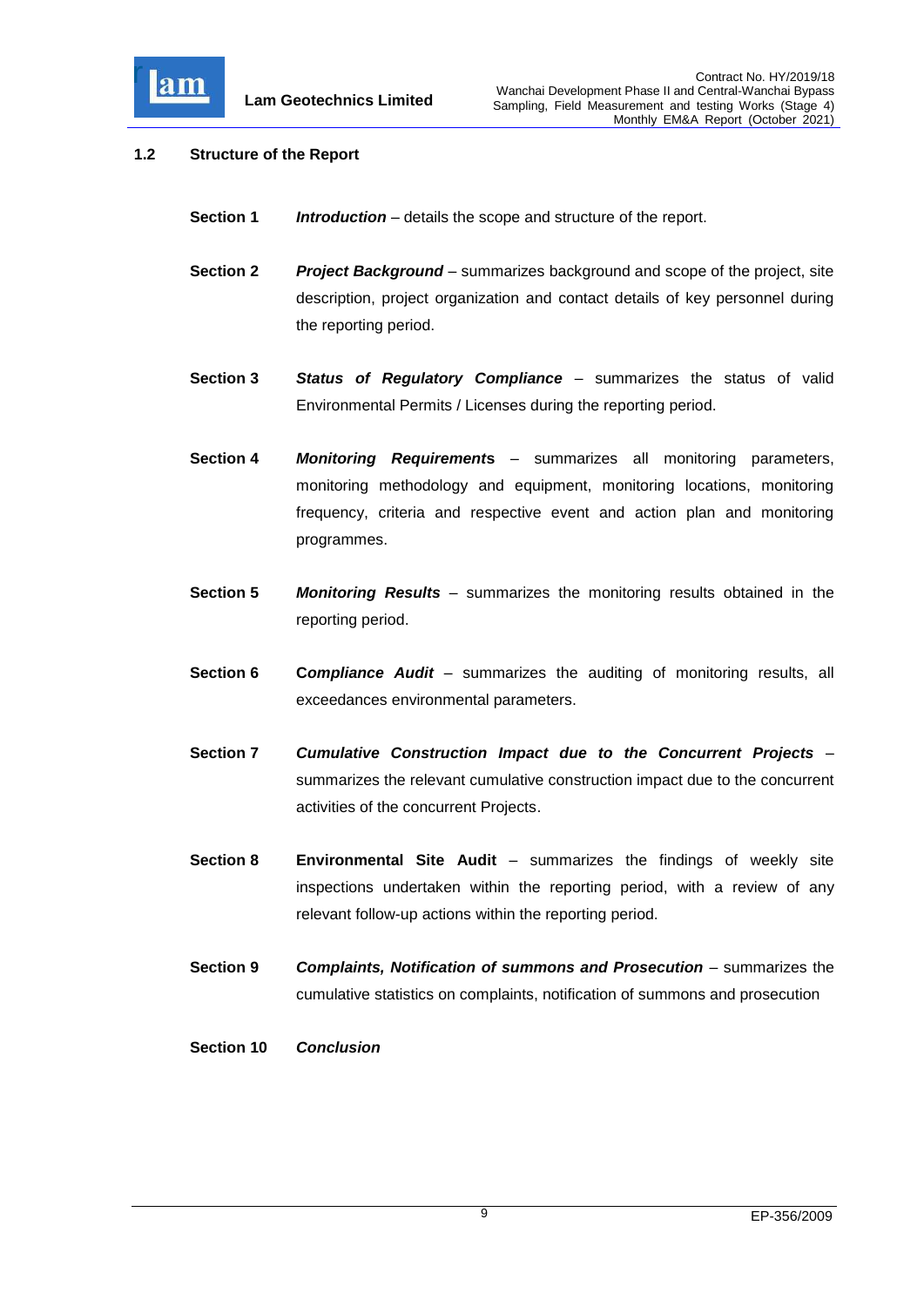

## <span id="page-9-0"></span>**1.2 Structure of the Report**

- **Section 1** *Introduction* details the scope and structure of the report.
- **Section 2** *Project Background* summarizes background and scope of the project, site description, project organization and contact details of key personnel during the reporting period.
- **Section 3** *Status of Regulatory Compliance* summarizes the status of valid Environmental Permits / Licenses during the reporting period.
- **Section 4** *Monitoring Requirement***s** summarizes all monitoring parameters, monitoring methodology and equipment, monitoring locations, monitoring frequency, criteria and respective event and action plan and monitoring programmes.
- **Section 5** *Monitoring Results* summarizes the monitoring results obtained in the reporting period.
- **Section 6 C***ompliance Audit* summarizes the auditing of monitoring results, all exceedances environmental parameters.
- **Section 7** *Cumulative Construction Impact due to the Concurrent Projects*  summarizes the relevant cumulative construction impact due to the concurrent activities of the concurrent Projects.
- **Section 8 Environmental Site Audit** summarizes the findings of weekly site inspections undertaken within the reporting period, with a review of any relevant follow-up actions within the reporting period.
- **Section 9** *Complaints, Notification of summons and Prosecution summarizes the* cumulative statistics on complaints, notification of summons and prosecution
- **Section 10** *Conclusion*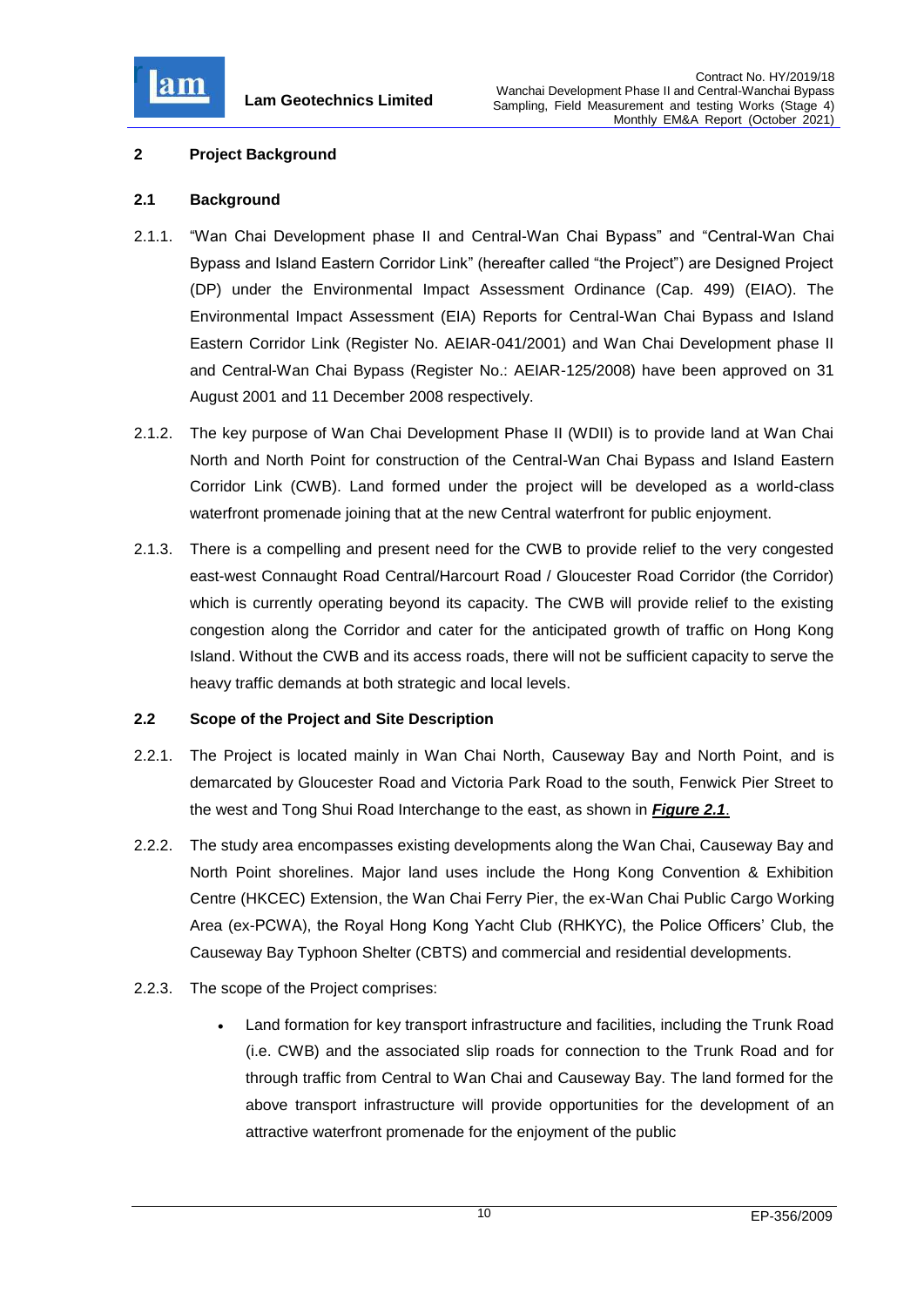

## <span id="page-10-0"></span>**2 Project Background**

## <span id="page-10-1"></span>**2.1 Background**

- 2.1.1. "Wan Chai Development phase II and Central-Wan Chai Bypass" and "Central-Wan Chai Bypass and Island Eastern Corridor Link" (hereafter called "the Project") are Designed Project (DP) under the Environmental Impact Assessment Ordinance (Cap. 499) (EIAO). The Environmental Impact Assessment (EIA) Reports for Central-Wan Chai Bypass and Island Eastern Corridor Link (Register No. AEIAR-041/2001) and Wan Chai Development phase II and Central-Wan Chai Bypass (Register No.: AEIAR-125/2008) have been approved on 31 August 2001 and 11 December 2008 respectively.
- 2.1.2. The key purpose of Wan Chai Development Phase II (WDII) is to provide land at Wan Chai North and North Point for construction of the Central-Wan Chai Bypass and Island Eastern Corridor Link (CWB). Land formed under the project will be developed as a world-class waterfront promenade joining that at the new Central waterfront for public enjoyment.
- 2.1.3. There is a compelling and present need for the CWB to provide relief to the very congested east-west Connaught Road Central/Harcourt Road / Gloucester Road Corridor (the Corridor) which is currently operating beyond its capacity. The CWB will provide relief to the existing congestion along the Corridor and cater for the anticipated growth of traffic on Hong Kong Island. Without the CWB and its access roads, there will not be sufficient capacity to serve the heavy traffic demands at both strategic and local levels.

#### <span id="page-10-2"></span>**2.2 Scope of the Project and Site Description**

- 2.2.1. The Project is located mainly in Wan Chai North, Causeway Bay and North Point, and is demarcated by Gloucester Road and Victoria Park Road to the south, Fenwick Pier Street to the west and Tong Shui Road Interchange to the east, as shown in *[Figure 2.1](file:///C:/Users/kcchan/AppData/Roaming/Microsoft/Attachment/Fig%202.1_Project%20Layout.pdf)*.
- 2.2.2. The study area encompasses existing developments along the Wan Chai, Causeway Bay and North Point shorelines. Major land uses include the Hong Kong Convention & Exhibition Centre (HKCEC) Extension, the Wan Chai Ferry Pier, the ex-Wan Chai Public Cargo Working Area (ex-PCWA), the Royal Hong Kong Yacht Club (RHKYC), the Police Officers' Club, the Causeway Bay Typhoon Shelter (CBTS) and commercial and residential developments.
- 2.2.3. The scope of the Project comprises:
	- Land formation for key transport infrastructure and facilities, including the Trunk Road (i.e. CWB) and the associated slip roads for connection to the Trunk Road and for through traffic from Central to Wan Chai and Causeway Bay. The land formed for the above transport infrastructure will provide opportunities for the development of an attractive waterfront promenade for the enjoyment of the public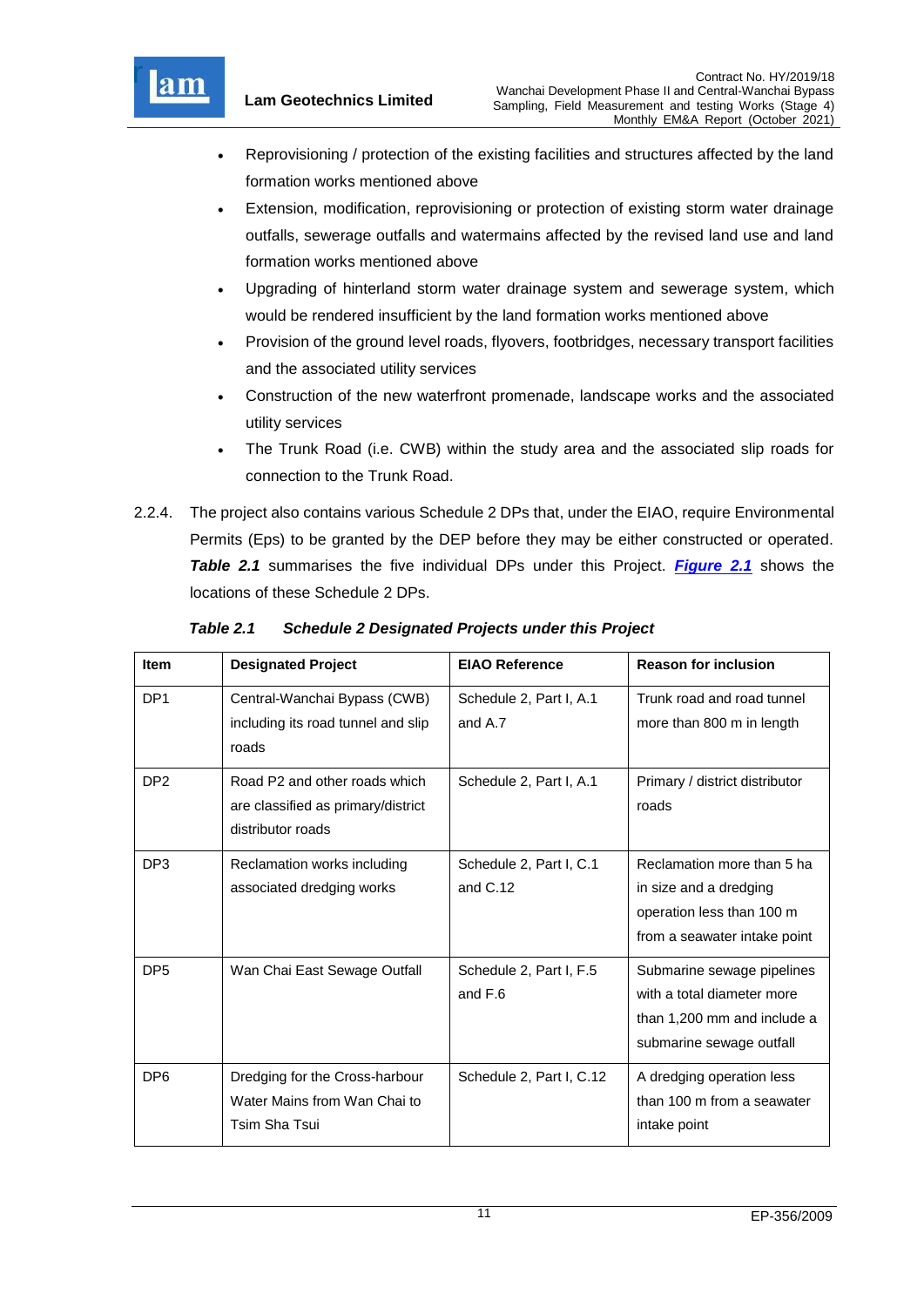

- Reprovisioning / protection of the existing facilities and structures affected by the land formation works mentioned above
- Extension, modification, reprovisioning or protection of existing storm water drainage outfalls, sewerage outfalls and watermains affected by the revised land use and land formation works mentioned above
- Upgrading of hinterland storm water drainage system and sewerage system, which would be rendered insufficient by the land formation works mentioned above
- Provision of the ground level roads, flyovers, footbridges, necessary transport facilities and the associated utility services
- Construction of the new waterfront promenade, landscape works and the associated utility services
- The Trunk Road (i.e. CWB) within the study area and the associated slip roads for connection to the Trunk Road.
- 2.2.4. The project also contains various Schedule 2 DPs that, under the EIAO, require Environmental Permits (Eps) to be granted by the DEP before they may be either constructed or operated. *Table 2.1* summarises the five individual DPs under this Project. *[Figure 2.1](file:///C:/Users/kcchan/AppData/Roaming/Microsoft/Attachment/Fig%202.1_Project%20Layout.pdf)* shows the locations of these Schedule 2 DPs.

| <b>Item</b>     | <b>Designated Project</b>                                                                | <b>EIAO Reference</b>                 | <b>Reason for inclusion</b>                                                                                         |
|-----------------|------------------------------------------------------------------------------------------|---------------------------------------|---------------------------------------------------------------------------------------------------------------------|
| DP <sub>1</sub> | Central-Wanchai Bypass (CWB)<br>including its road tunnel and slip<br>roads              | Schedule 2, Part I, A.1<br>and A.7    | Trunk road and road tunnel<br>more than 800 m in length                                                             |
| DP <sub>2</sub> | Road P2 and other roads which<br>are classified as primary/district<br>distributor roads | Schedule 2, Part I, A.1               | Primary / district distributor<br>roads                                                                             |
| DP <sub>3</sub> | Reclamation works including<br>associated dredging works                                 | Schedule 2, Part I, C.1<br>and $C.12$ | Reclamation more than 5 ha<br>in size and a dredging<br>operation less than 100 m<br>from a seawater intake point   |
| DP <sub>5</sub> | Wan Chai East Sewage Outfall                                                             | Schedule 2, Part I, F.5<br>and F.6    | Submarine sewage pipelines<br>with a total diameter more<br>than 1,200 mm and include a<br>submarine sewage outfall |
| DP <sub>6</sub> | Dredging for the Cross-harbour<br>Water Mains from Wan Chai to<br>Tsim Sha Tsui          | Schedule 2, Part I, C.12              | A dredging operation less<br>than 100 m from a seawater<br>intake point                                             |

<span id="page-11-0"></span>*Table 2.1 Schedule 2 Designated Projects under this Project*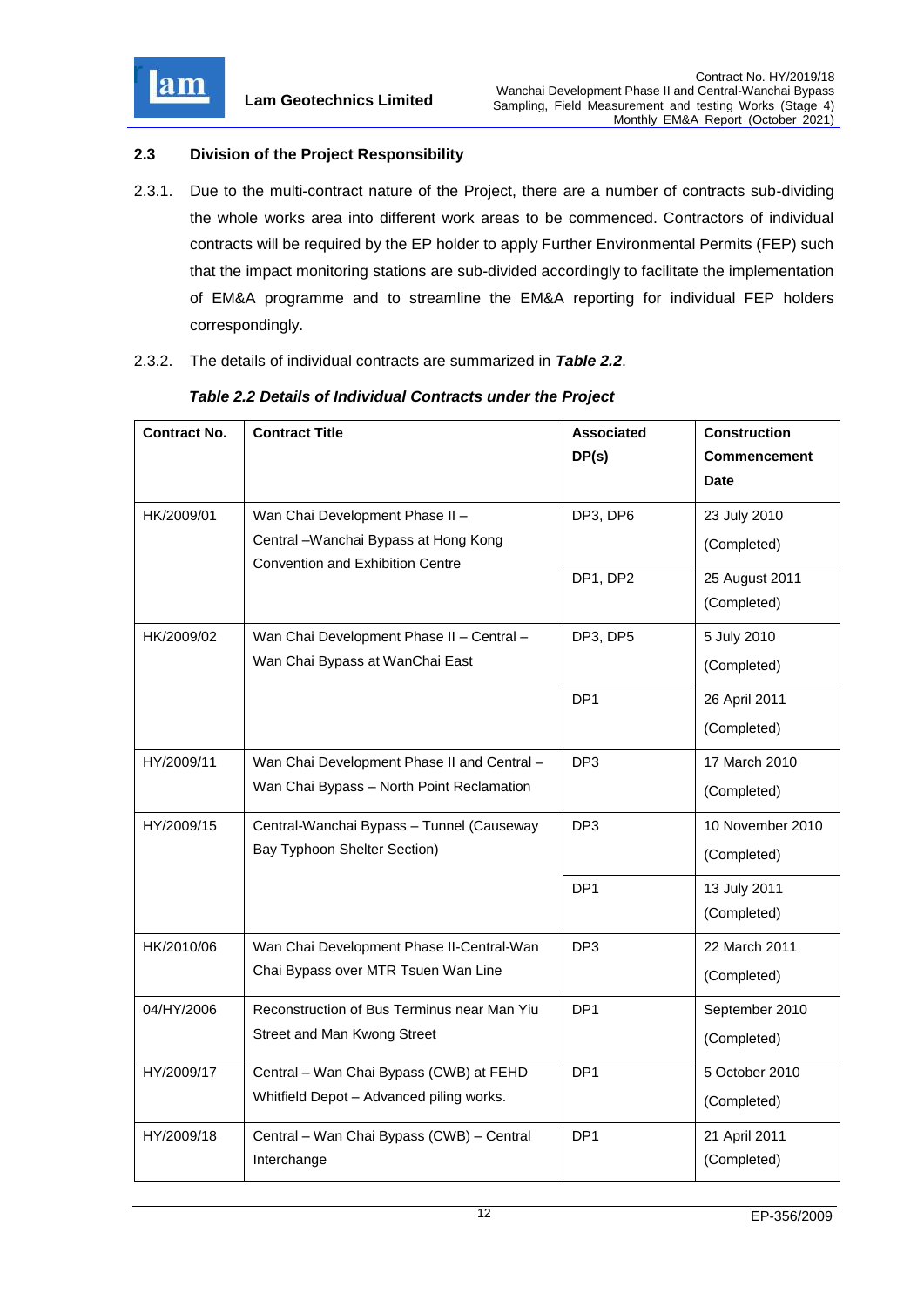

# <span id="page-12-0"></span>**2.3 Division of the Project Responsibility**

- 2.3.1. Due to the multi-contract nature of the Project, there are a number of contracts sub-dividing the whole works area into different work areas to be commenced. Contractors of individual contracts will be required by the EP holder to apply Further Environmental Permits (FEP) such that the impact monitoring stations are sub-divided accordingly to facilitate the implementation of EM&A programme and to streamline the EM&A reporting for individual FEP holders correspondingly.
- 2.3.2. The details of individual contracts are summarized in *Table 2.2*.

| <b>Contract No.</b> | <b>Contract Title</b>                       | <b>Associated</b> | <b>Construction</b> |
|---------------------|---------------------------------------------|-------------------|---------------------|
|                     |                                             | DP(s)             | <b>Commencement</b> |
|                     |                                             |                   | <b>Date</b>         |
| HK/2009/01          | Wan Chai Development Phase II -             | DP3, DP6          | 23 July 2010        |
|                     | Central - Wanchai Bypass at Hong Kong       |                   | (Completed)         |
|                     | <b>Convention and Exhibition Centre</b>     | DP1, DP2          | 25 August 2011      |
|                     |                                             |                   | (Completed)         |
| HK/2009/02          | Wan Chai Development Phase II - Central -   | DP3, DP5          | 5 July 2010         |
|                     | Wan Chai Bypass at WanChai East             |                   | (Completed)         |
|                     |                                             | DP <sub>1</sub>   | 26 April 2011       |
|                     |                                             |                   | (Completed)         |
| HY/2009/11          | Wan Chai Development Phase II and Central - | DP <sub>3</sub>   | 17 March 2010       |
|                     | Wan Chai Bypass - North Point Reclamation   |                   | (Completed)         |
| HY/2009/15          | Central-Wanchai Bypass - Tunnel (Causeway   | DP <sub>3</sub>   | 10 November 2010    |
|                     | Bay Typhoon Shelter Section)                |                   | (Completed)         |
|                     |                                             | DP <sub>1</sub>   | 13 July 2011        |
|                     |                                             |                   | (Completed)         |
| HK/2010/06          | Wan Chai Development Phase II-Central-Wan   | DP <sub>3</sub>   | 22 March 2011       |
|                     | Chai Bypass over MTR Tsuen Wan Line         |                   | (Completed)         |
| 04/HY/2006          | Reconstruction of Bus Terminus near Man Yiu | DP <sub>1</sub>   | September 2010      |
|                     | Street and Man Kwong Street                 |                   | (Completed)         |
| HY/2009/17          | Central - Wan Chai Bypass (CWB) at FEHD     | DP <sub>1</sub>   | 5 October 2010      |
|                     | Whitfield Depot - Advanced piling works.    |                   | (Completed)         |
| HY/2009/18          | Central - Wan Chai Bypass (CWB) - Central   | DP <sub>1</sub>   | 21 April 2011       |
|                     | Interchange                                 |                   | (Completed)         |

## <span id="page-12-1"></span>*Table 2.2 Details of Individual Contracts under the Project*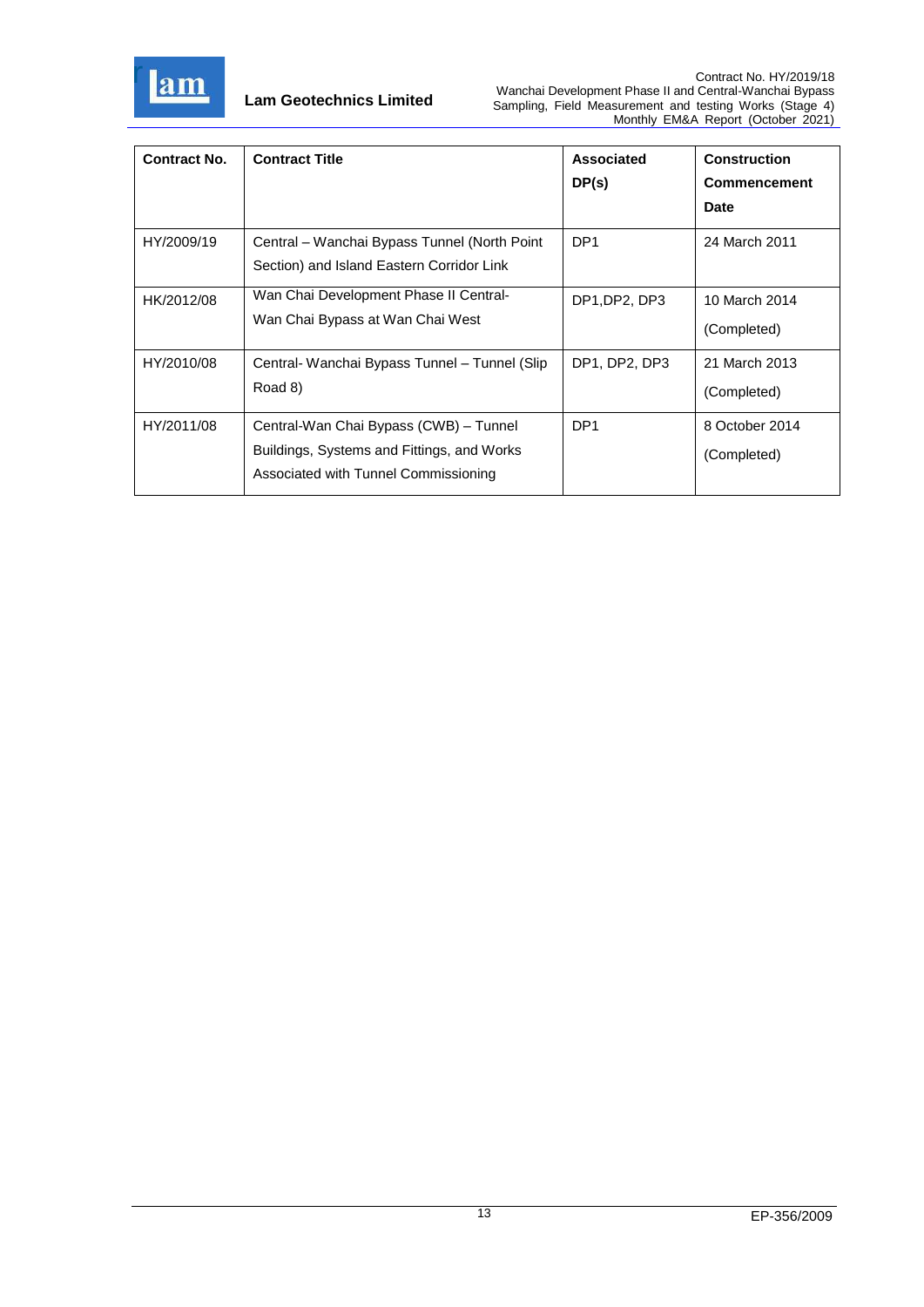

| <b>Contract No.</b> | <b>Contract Title</b>                                                                                                        | Associated<br>DP(s) | <b>Construction</b><br><b>Commencement</b><br><b>Date</b> |
|---------------------|------------------------------------------------------------------------------------------------------------------------------|---------------------|-----------------------------------------------------------|
| HY/2009/19          | Central – Wanchai Bypass Tunnel (North Point<br>Section) and Island Eastern Corridor Link                                    | DP <sub>1</sub>     | 24 March 2011                                             |
| HK/2012/08          | Wan Chai Development Phase II Central-<br>Wan Chai Bypass at Wan Chai West                                                   | DP1, DP2, DP3       | 10 March 2014<br>(Completed)                              |
| HY/2010/08          | Central- Wanchai Bypass Tunnel – Tunnel (Slip<br>Road 8)                                                                     | DP1, DP2, DP3       | 21 March 2013<br>(Completed)                              |
| HY/2011/08          | Central-Wan Chai Bypass (CWB) - Tunnel<br>Buildings, Systems and Fittings, and Works<br>Associated with Tunnel Commissioning | DP <sub>1</sub>     | 8 October 2014<br>(Completed)                             |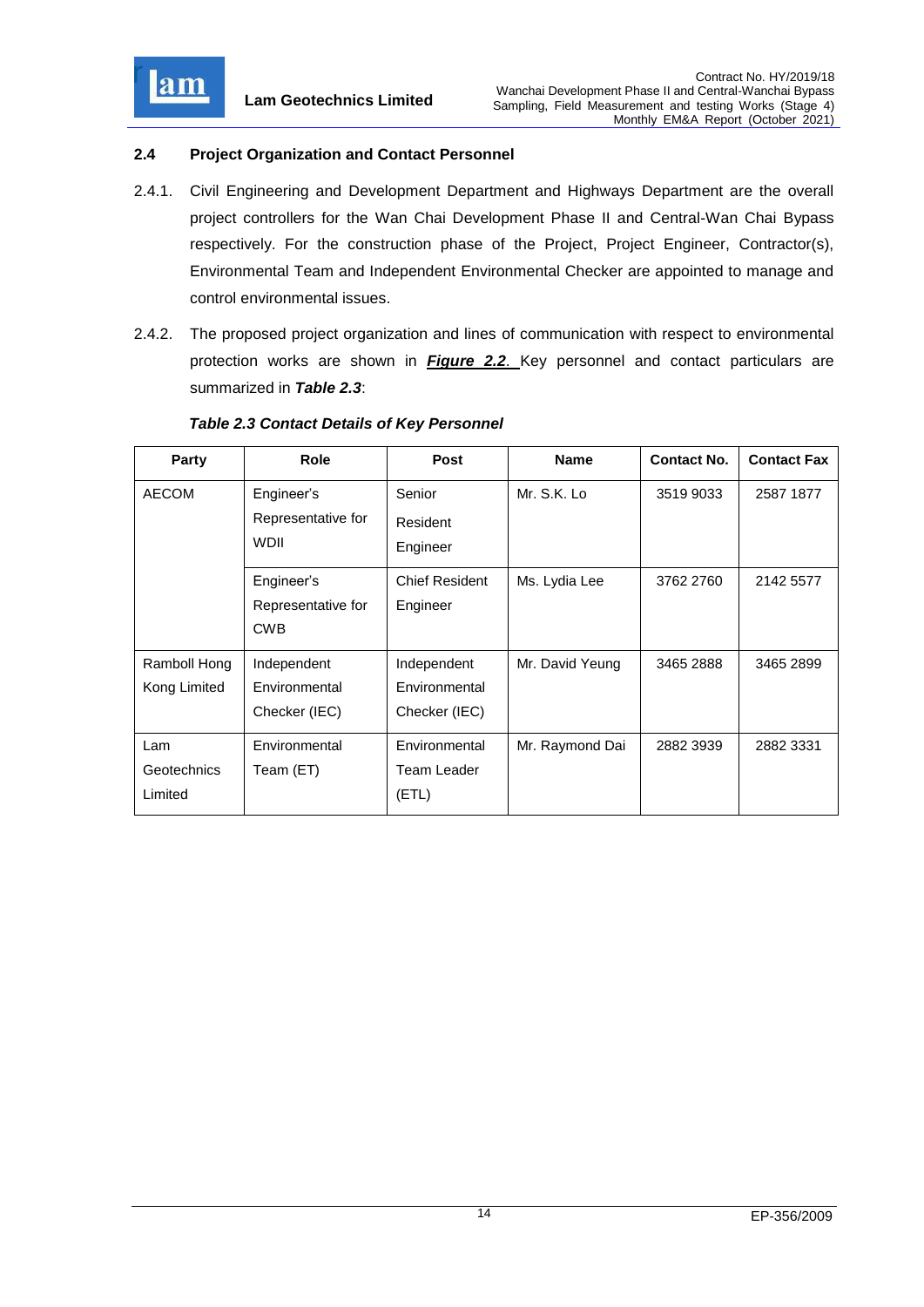

# <span id="page-14-0"></span>**2.4 Project Organization and Contact Personnel**

- 2.4.1. Civil Engineering and Development Department and Highways Department are the overall project controllers for the Wan Chai Development Phase II and Central-Wan Chai Bypass respectively. For the construction phase of the Project, Project Engineer, Contractor(s), Environmental Team and Independent Environmental Checker are appointed to manage and control environmental issues.
- 2.4.2. The proposed project organization and lines of communication with respect to environmental protection works are shown in *[Figure 2.2](file:///C:/Users/kcchan/AppData/Roaming/Microsoft/Attachment/Fig%202.2_Project%20Orgchart.pdf)*. Key personnel and contact particulars are summarized in *Table 2.3*:

| Party        | Role               | <b>Post</b>           | <b>Name</b>     | <b>Contact No.</b> | <b>Contact Fax</b> |
|--------------|--------------------|-----------------------|-----------------|--------------------|--------------------|
| <b>AECOM</b> | Engineer's         | Senior                | Mr. S.K. Lo     | 3519 9033          | 2587 1877          |
|              | Representative for | Resident              |                 |                    |                    |
|              | <b>WDII</b>        | Engineer              |                 |                    |                    |
|              | Engineer's         | <b>Chief Resident</b> | Ms. Lydia Lee   | 3762 2760          | 2142 5577          |
|              | Representative for | Engineer              |                 |                    |                    |
|              | <b>CWB</b>         |                       |                 |                    |                    |
| Ramboll Hong | Independent        | Independent           | Mr. David Yeung | 3465 2888          | 3465 2899          |
| Kong Limited | Environmental      | Environmental         |                 |                    |                    |
|              | Checker (IEC)      | Checker (IEC)         |                 |                    |                    |
| Lam          | Environmental      | Environmental         | Mr. Raymond Dai | 2882 3939          | 2882 3331          |
| Geotechnics  | Team (ET)          | Team Leader           |                 |                    |                    |
| Limited      |                    | (ETL)                 |                 |                    |                    |

## <span id="page-14-1"></span>*Table 2.3 Contact Details of Key Personnel*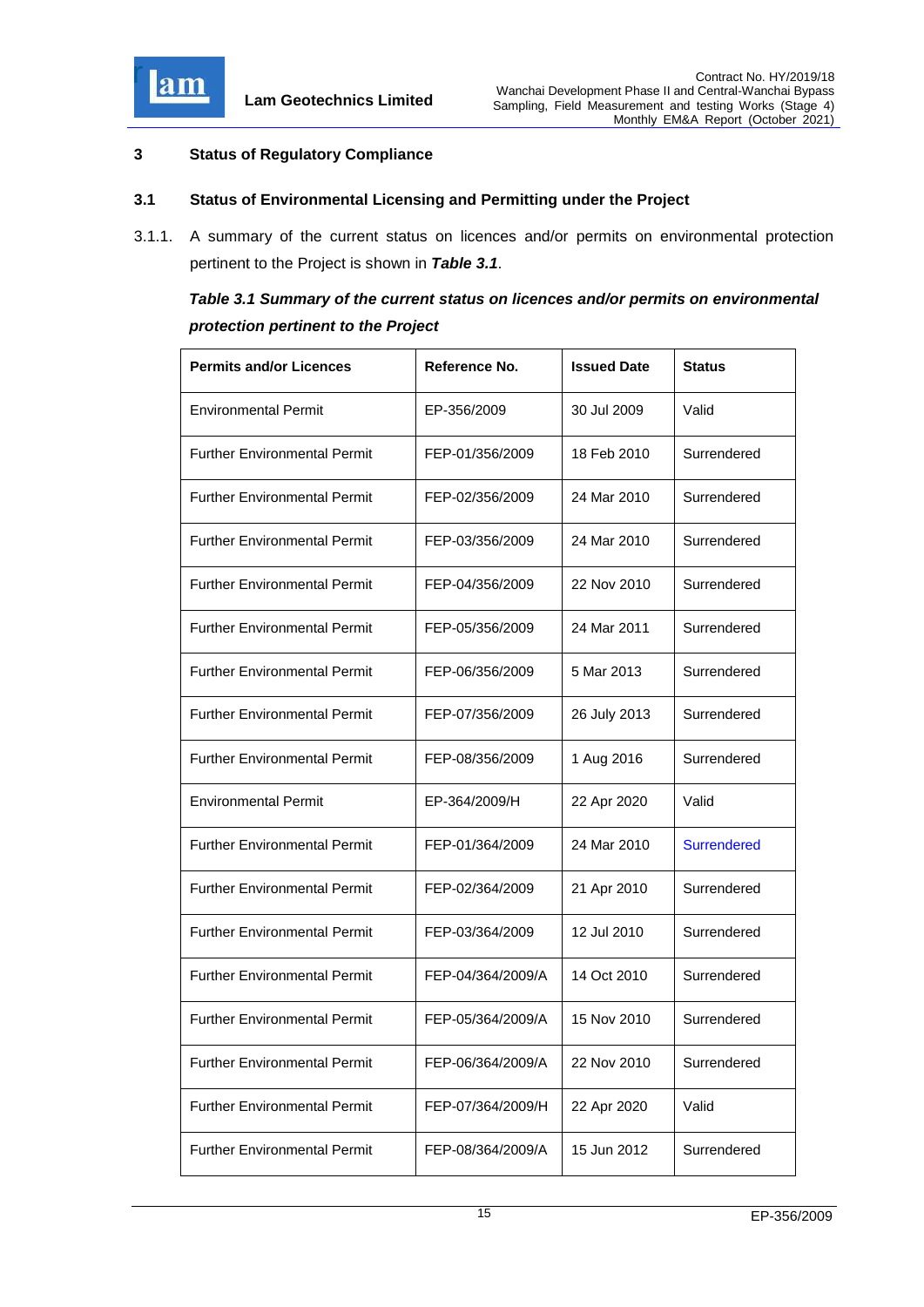

## <span id="page-15-0"></span>**3 Status of Regulatory Compliance**

## <span id="page-15-1"></span>**3.1 Status of Environmental Licensing and Permitting under the Project**

3.1.1. A summary of the current status on licences and/or permits on environmental protection pertinent to the Project is shown in *Table 3.1*.

# <span id="page-15-2"></span>*Table 3.1 Summary of the current status on licences and/or permits on environmental protection pertinent to the Project*

| <b>Permits and/or Licences</b>      | Reference No.     | <b>Issued Date</b> | <b>Status</b>      |
|-------------------------------------|-------------------|--------------------|--------------------|
| <b>Environmental Permit</b>         | EP-356/2009       | 30 Jul 2009        | Valid              |
| <b>Further Environmental Permit</b> | FEP-01/356/2009   | 18 Feb 2010        | Surrendered        |
| <b>Further Environmental Permit</b> | FEP-02/356/2009   | 24 Mar 2010        | Surrendered        |
| <b>Further Environmental Permit</b> | FEP-03/356/2009   | 24 Mar 2010        | Surrendered        |
| <b>Further Environmental Permit</b> | FEP-04/356/2009   | 22 Nov 2010        | Surrendered        |
| <b>Further Environmental Permit</b> | FEP-05/356/2009   | 24 Mar 2011        | Surrendered        |
| <b>Further Environmental Permit</b> | FEP-06/356/2009   | 5 Mar 2013         | Surrendered        |
| <b>Further Environmental Permit</b> | FEP-07/356/2009   | 26 July 2013       | Surrendered        |
| <b>Further Environmental Permit</b> | FEP-08/356/2009   | 1 Aug 2016         | Surrendered        |
| <b>Environmental Permit</b>         | EP-364/2009/H     | 22 Apr 2020        | Valid              |
| <b>Further Environmental Permit</b> | FEP-01/364/2009   | 24 Mar 2010        | <b>Surrendered</b> |
| <b>Further Environmental Permit</b> | FEP-02/364/2009   | 21 Apr 2010        | Surrendered        |
| <b>Further Environmental Permit</b> | FEP-03/364/2009   | 12 Jul 2010        | Surrendered        |
| <b>Further Environmental Permit</b> | FEP-04/364/2009/A | 14 Oct 2010        | Surrendered        |
| <b>Further Environmental Permit</b> | FEP-05/364/2009/A | 15 Nov 2010        | Surrendered        |
| <b>Further Environmental Permit</b> | FEP-06/364/2009/A | 22 Nov 2010        | Surrendered        |
| <b>Further Environmental Permit</b> | FEP-07/364/2009/H | 22 Apr 2020        | Valid              |
| <b>Further Environmental Permit</b> | FEP-08/364/2009/A | 15 Jun 2012        | Surrendered        |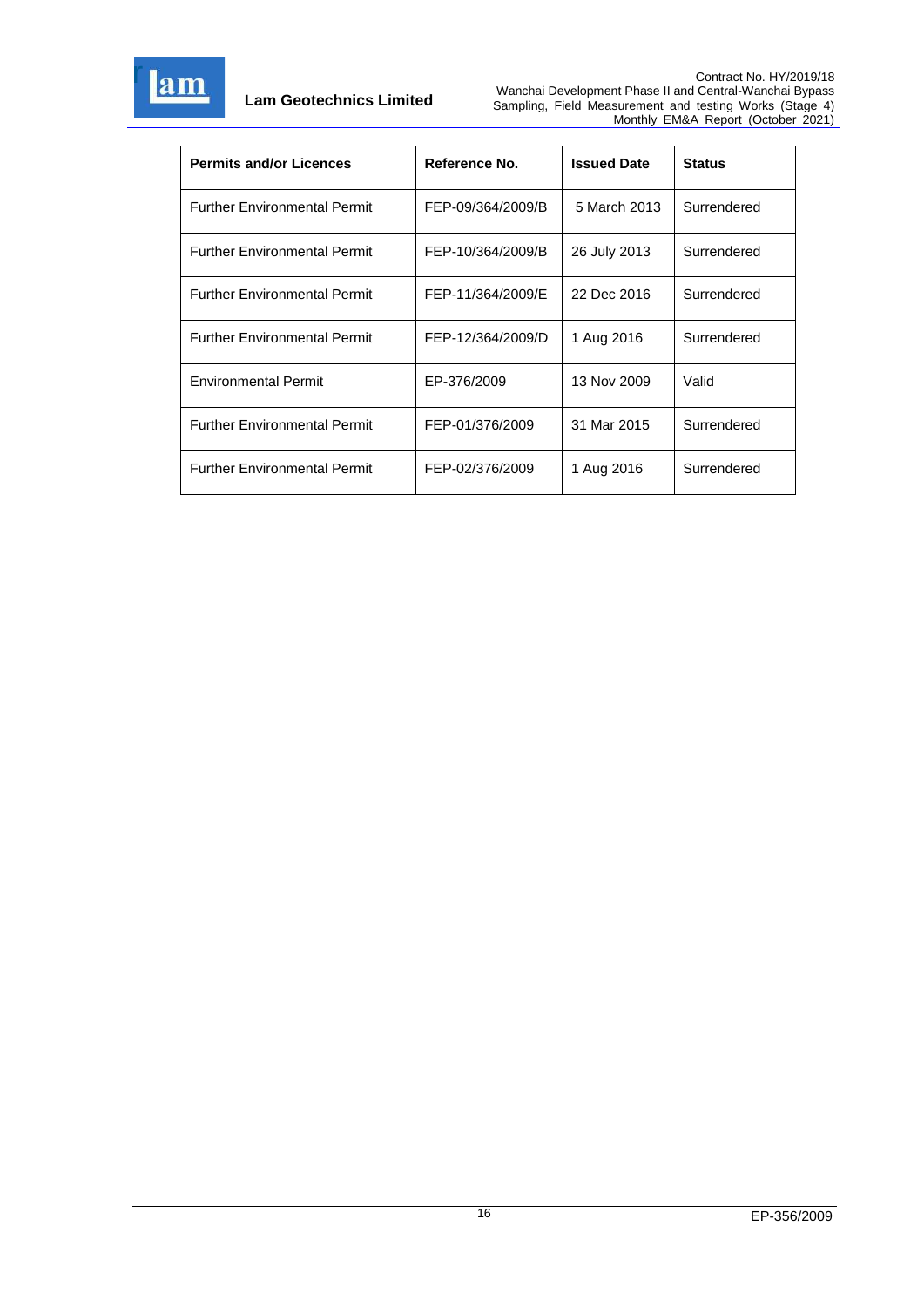

| <b>Permits and/or Licences</b>      | Reference No.     | <b>Issued Date</b> | <b>Status</b> |
|-------------------------------------|-------------------|--------------------|---------------|
| <b>Further Environmental Permit</b> | FEP-09/364/2009/B | 5 March 2013       | Surrendered   |
| <b>Further Environmental Permit</b> | FEP-10/364/2009/B | 26 July 2013       | Surrendered   |
| <b>Further Environmental Permit</b> | FEP-11/364/2009/E | 22 Dec 2016        | Surrendered   |
| <b>Further Environmental Permit</b> | FEP-12/364/2009/D | 1 Aug 2016         | Surrendered   |
| <b>Environmental Permit</b>         | EP-376/2009       | 13 Nov 2009        | Valid         |
| <b>Further Environmental Permit</b> | FEP-01/376/2009   | 31 Mar 2015        | Surrendered   |
| <b>Further Environmental Permit</b> | FEP-02/376/2009   | 1 Aug 2016         | Surrendered   |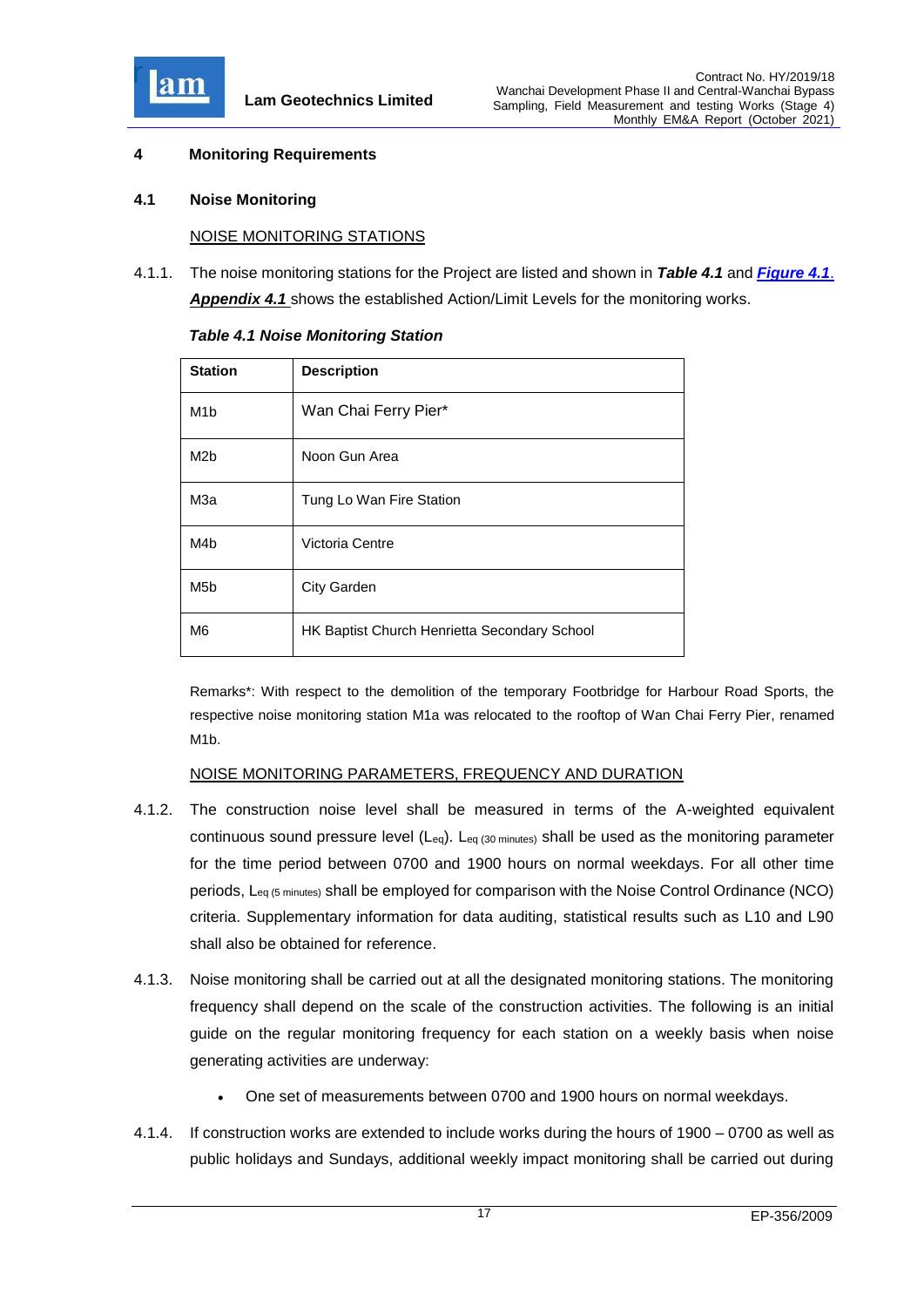

## <span id="page-17-0"></span>**4 Monitoring Requirements**

#### <span id="page-17-1"></span>**4.1 Noise Monitoring**

#### NOISE MONITORING STATIONS

4.1.1. The noise monitoring stations for the Project are listed and shown in *Table 4.1* and *[Figure 4.1](file:///C:/Users/kcchan/AppData/Roaming/Microsoft/Attachment/Fig%204.1_Location%20of%20monitoring%20stations.pdf)*. *[Appendix 4.1](file:///C:/Users/kcchan/AppData/Roaming/Microsoft/Attachment/App4.1%20Action%20and%20Limit%20Level.pdf)* shows the established Action/Limit Levels for the monitoring works.

| <b>Station</b>   | <b>Description</b>                           |
|------------------|----------------------------------------------|
| M <sub>1</sub> b | Wan Chai Ferry Pier*                         |
| M <sub>2b</sub>  | Noon Gun Area                                |
| МЗа              | Tung Lo Wan Fire Station                     |
| M4b              | Victoria Centre                              |
| M <sub>5</sub> b | <b>City Garden</b>                           |
| M6               | HK Baptist Church Henrietta Secondary School |

<span id="page-17-2"></span>*Table 4.1 Noise Monitoring Station*

Remarks\*: With respect to the demolition of the temporary Footbridge for Harbour Road Sports, the respective noise monitoring station M1a was relocated to the rooftop of Wan Chai Ferry Pier, renamed M1b.

#### NOISE MONITORING PARAMETERS, FREQUENCY AND DURATION

- 4.1.2. The construction noise level shall be measured in terms of the A-weighted equivalent continuous sound pressure level (Leq). Leq (30 minutes) shall be used as the monitoring parameter for the time period between 0700 and 1900 hours on normal weekdays. For all other time periods, Leq (5 minutes) shall be employed for comparison with the Noise Control Ordinance (NCO) criteria. Supplementary information for data auditing, statistical results such as L10 and L90 shall also be obtained for reference.
- 4.1.3. Noise monitoring shall be carried out at all the designated monitoring stations. The monitoring frequency shall depend on the scale of the construction activities. The following is an initial guide on the regular monitoring frequency for each station on a weekly basis when noise generating activities are underway:
	- One set of measurements between 0700 and 1900 hours on normal weekdays.
- 4.1.4. If construction works are extended to include works during the hours of 1900 0700 as well as public holidays and Sundays, additional weekly impact monitoring shall be carried out during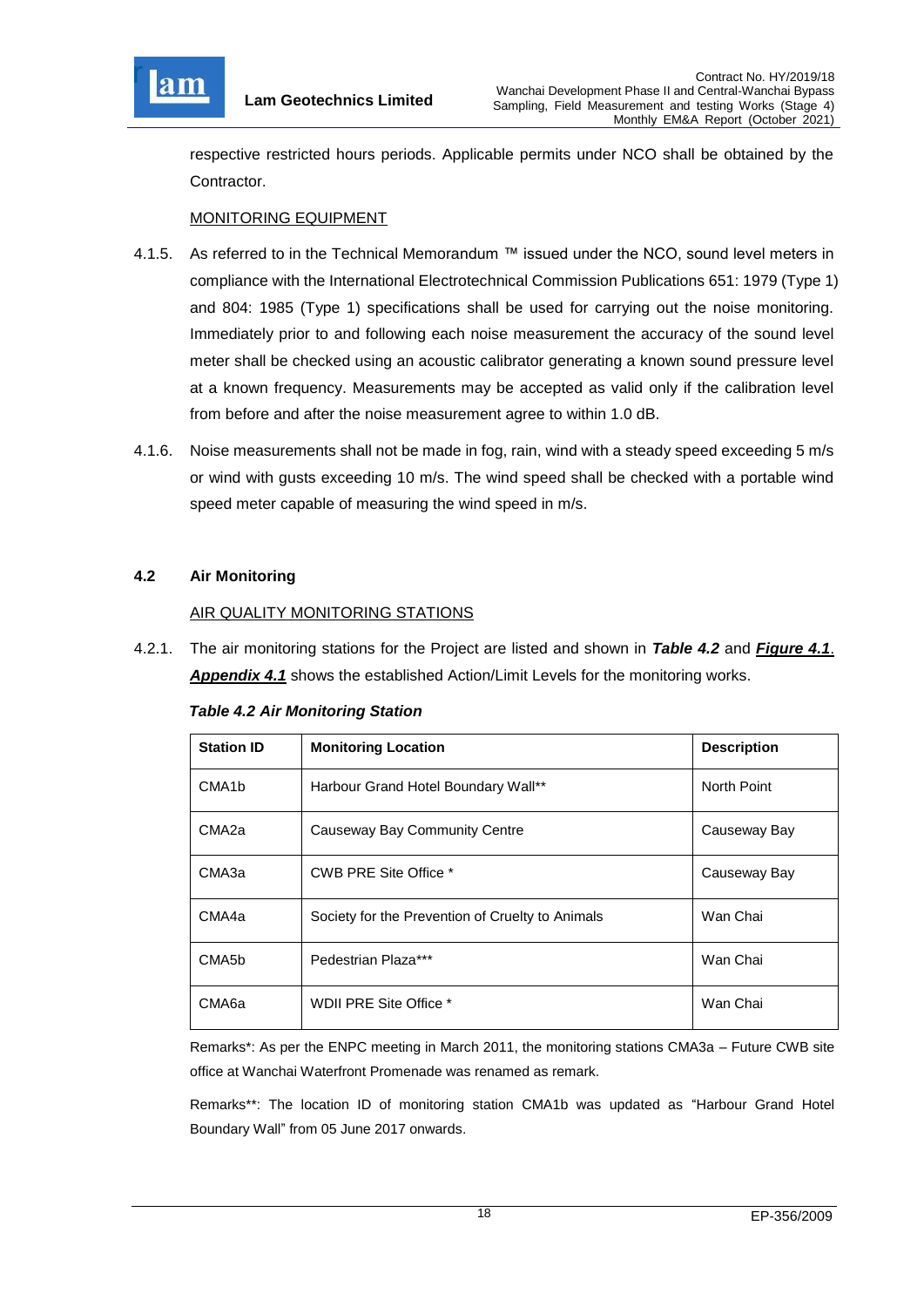

respective restricted hours periods. Applicable permits under NCO shall be obtained by the Contractor.

# MONITORING EQUIPMENT

- 4.1.5. As referred to in the Technical Memorandum ™ issued under the NCO, sound level meters in compliance with the International Electrotechnical Commission Publications 651: 1979 (Type 1) and 804: 1985 (Type 1) specifications shall be used for carrying out the noise monitoring. Immediately prior to and following each noise measurement the accuracy of the sound level meter shall be checked using an acoustic calibrator generating a known sound pressure level at a known frequency. Measurements may be accepted as valid only if the calibration level from before and after the noise measurement agree to within 1.0 dB.
- 4.1.6. Noise measurements shall not be made in fog, rain, wind with a steady speed exceeding 5 m/s or wind with gusts exceeding 10 m/s. The wind speed shall be checked with a portable wind speed meter capable of measuring the wind speed in m/s.

# <span id="page-18-0"></span>**4.2 Air Monitoring**

## AIR QUALITY MONITORING STATIONS

4.2.1. The air monitoring stations for the Project are listed and shown in *Table 4.2* and *[Figure 4.1](file:///C:/Users/kcchan/AppData/Roaming/Microsoft/Attachment/Fig%204.1_Location%20of%20monitoring%20stations.pdf)*. *[Appendix 4.1](file:///C:/Users/kcchan/AppData/Roaming/Microsoft/Attachment/App4.1%20Action%20and%20Limit%20Level.pdf)* shows the established Action/Limit Levels for the monitoring works.

|  |  |  |  | <b>Table 4.2 Air Monitoring Station</b> |  |
|--|--|--|--|-----------------------------------------|--|
|--|--|--|--|-----------------------------------------|--|

| <b>Station ID</b>  | <b>Monitoring Location</b>                       | <b>Description</b> |
|--------------------|--------------------------------------------------|--------------------|
| CMA <sub>1</sub> b | Harbour Grand Hotel Boundary Wall**              | North Point        |
| CMA <sub>2a</sub>  | Causeway Bay Community Centre                    | Causeway Bay       |
| СМАЗа              | CWB PRE Site Office *                            | Causeway Bay       |
| CMA4a              | Society for the Prevention of Cruelty to Animals | Wan Chai           |
| CMA5b              | Pedestrian Plaza***                              | Wan Chai           |
| CMA6a              | WDII PRE Site Office *                           | Wan Chai           |

Remarks\*: As per the ENPC meeting in March 2011, the monitoring stations CMA3a – Future CWB site office at Wanchai Waterfront Promenade was renamed as remark.

Remarks\*\*: The location ID of monitoring station CMA1b was updated as "Harbour Grand Hotel Boundary Wall" from 05 June 2017 onwards.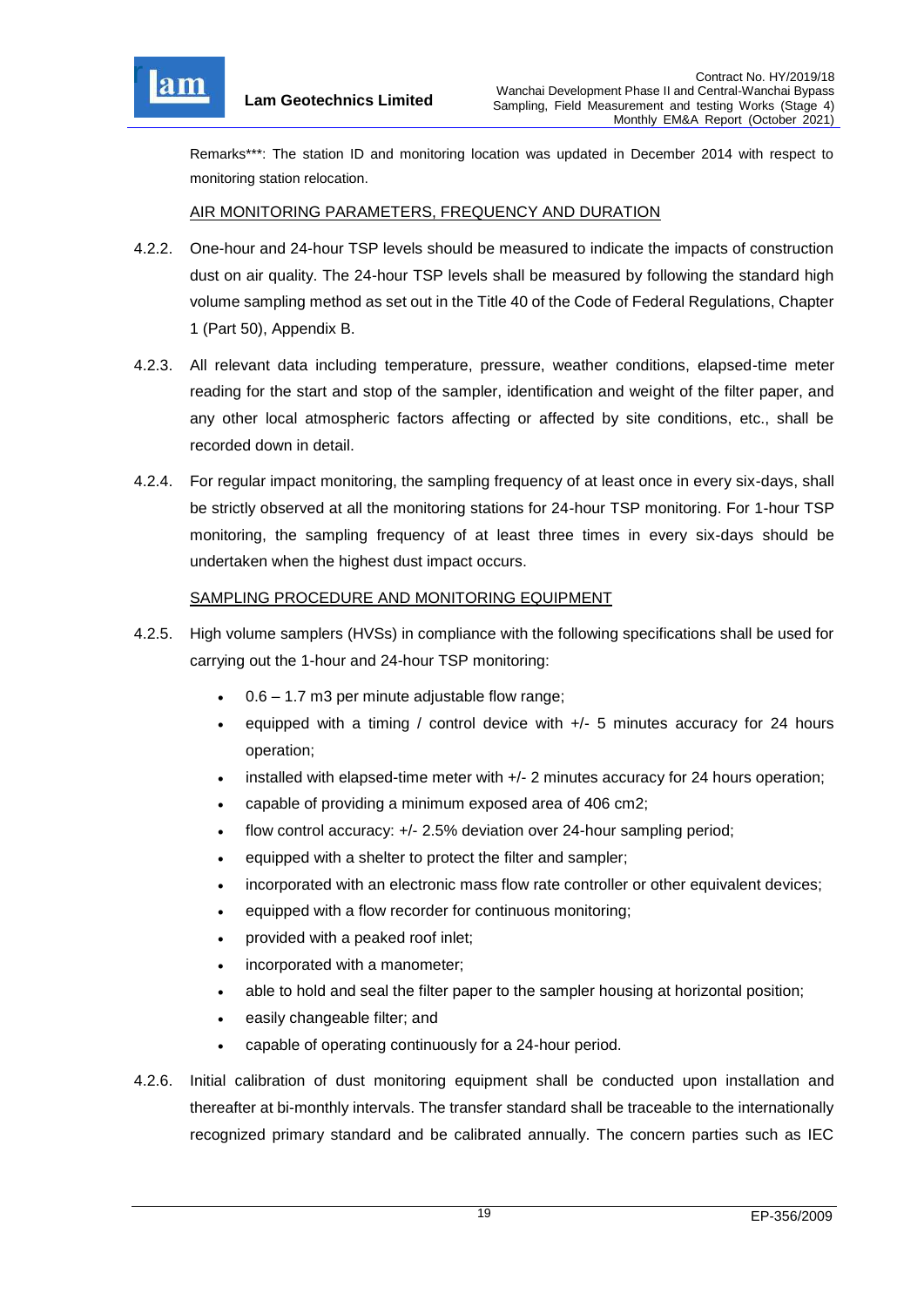

Remarks\*\*\*: The station ID and monitoring location was updated in December 2014 with respect to monitoring station relocation.

## AIR MONITORING PARAMETERS, FREQUENCY AND DURATION

- 4.2.2. One-hour and 24-hour TSP levels should be measured to indicate the impacts of construction dust on air quality. The 24-hour TSP levels shall be measured by following the standard high volume sampling method as set out in the Title 40 of the Code of Federal Regulations, Chapter 1 (Part 50), Appendix B.
- 4.2.3. All relevant data including temperature, pressure, weather conditions, elapsed-time meter reading for the start and stop of the sampler, identification and weight of the filter paper, and any other local atmospheric factors affecting or affected by site conditions, etc., shall be recorded down in detail.
- 4.2.4. For regular impact monitoring, the sampling frequency of at least once in every six-days, shall be strictly observed at all the monitoring stations for 24-hour TSP monitoring. For 1-hour TSP monitoring, the sampling frequency of at least three times in every six-days should be undertaken when the highest dust impact occurs.

## SAMPLING PROCEDURE AND MONITORING EQUIPMENT

- 4.2.5. High volume samplers (HVSs) in compliance with the following specifications shall be used for carrying out the 1-hour and 24-hour TSP monitoring:
	- 0.6 1.7 m3 per minute adjustable flow range;
	- equipped with a timing / control device with  $+/-$  5 minutes accuracy for 24 hours operation;
	- $\bullet$  installed with elapsed-time meter with  $+/2$  minutes accuracy for 24 hours operation;
	- capable of providing a minimum exposed area of 406 cm2;
	- flow control accuracy: +/- 2.5% deviation over 24-hour sampling period;
	- equipped with a shelter to protect the filter and sampler;
	- incorporated with an electronic mass flow rate controller or other equivalent devices;
	- equipped with a flow recorder for continuous monitoring;
	- provided with a peaked roof inlet;
	- incorporated with a manometer;
	- able to hold and seal the filter paper to the sampler housing at horizontal position;
	- easily changeable filter; and
	- capable of operating continuously for a 24-hour period.
- 4.2.6. Initial calibration of dust monitoring equipment shall be conducted upon installation and thereafter at bi-monthly intervals. The transfer standard shall be traceable to the internationally recognized primary standard and be calibrated annually. The concern parties such as IEC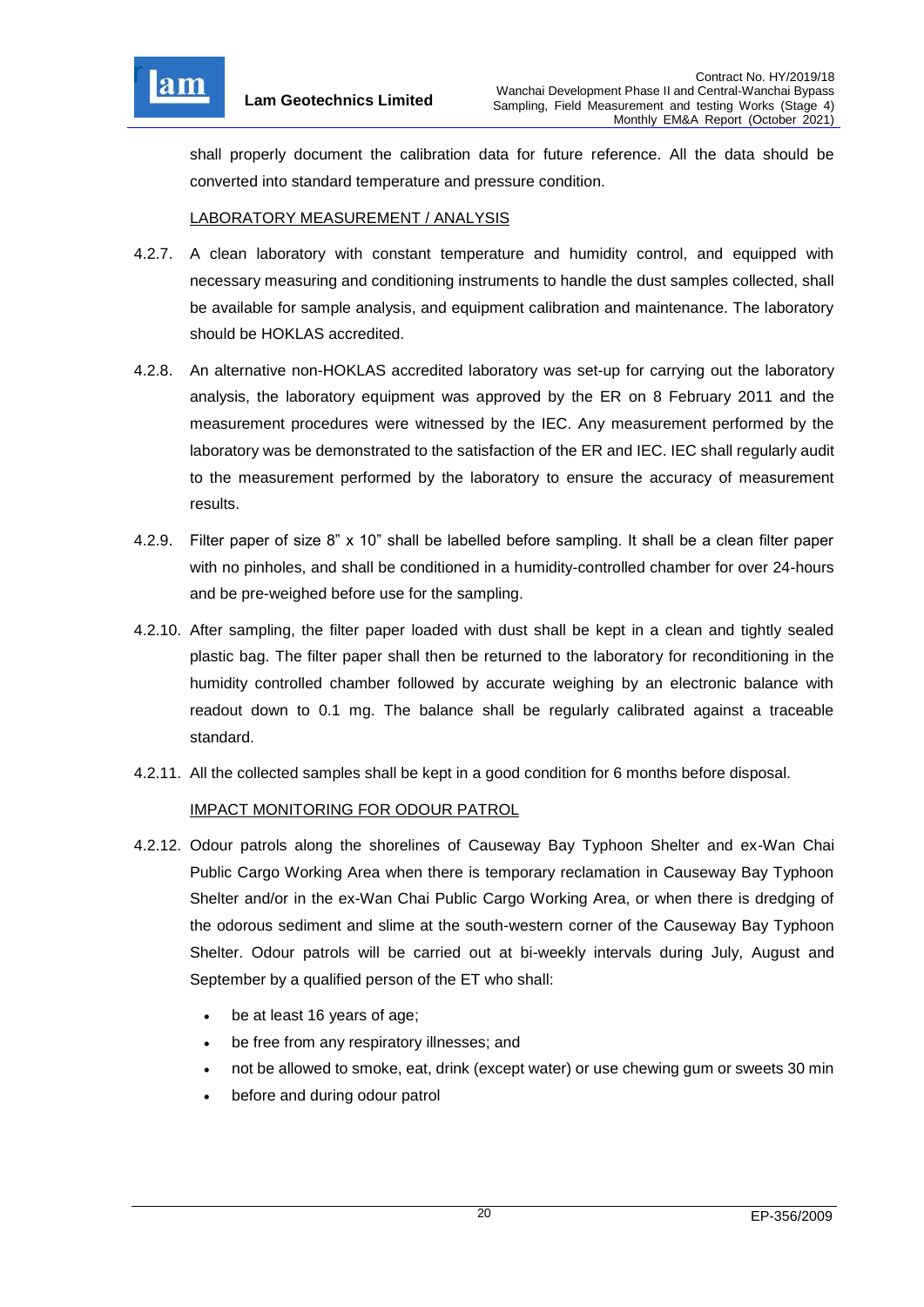

shall properly document the calibration data for future reference. All the data should be converted into standard temperature and pressure condition.

## LABORATORY MEASUREMENT / ANALYSIS

- 4.2.7. A clean laboratory with constant temperature and humidity control, and equipped with necessary measuring and conditioning instruments to handle the dust samples collected, shall be available for sample analysis, and equipment calibration and maintenance. The laboratory should be HOKLAS accredited.
- 4.2.8. An alternative non-HOKLAS accredited laboratory was set-up for carrying out the laboratory analysis, the laboratory equipment was approved by the ER on 8 February 2011 and the measurement procedures were witnessed by the IEC. Any measurement performed by the laboratory was be demonstrated to the satisfaction of the ER and IEC. IEC shall regularly audit to the measurement performed by the laboratory to ensure the accuracy of measurement results.
- 4.2.9. Filter paper of size 8" x 10" shall be labelled before sampling. It shall be a clean filter paper with no pinholes, and shall be conditioned in a humidity-controlled chamber for over 24-hours and be pre-weighed before use for the sampling.
- 4.2.10. After sampling, the filter paper loaded with dust shall be kept in a clean and tightly sealed plastic bag. The filter paper shall then be returned to the laboratory for reconditioning in the humidity controlled chamber followed by accurate weighing by an electronic balance with readout down to 0.1 mg. The balance shall be regularly calibrated against a traceable standard.
- 4.2.11. All the collected samples shall be kept in a good condition for 6 months before disposal.

# IMPACT MONITORING FOR ODOUR PATROL

- 4.2.12. Odour patrols along the shorelines of Causeway Bay Typhoon Shelter and ex-Wan Chai Public Cargo Working Area when there is temporary reclamation in Causeway Bay Typhoon Shelter and/or in the ex-Wan Chai Public Cargo Working Area, or when there is dredging of the odorous sediment and slime at the south-western corner of the Causeway Bay Typhoon Shelter. Odour patrols will be carried out at bi-weekly intervals during July, August and September by a qualified person of the ET who shall:
	- be at least 16 years of age;
	- be free from any respiratory illnesses; and
	- not be allowed to smoke, eat, drink (except water) or use chewing gum or sweets 30 min
	- before and during odour patrol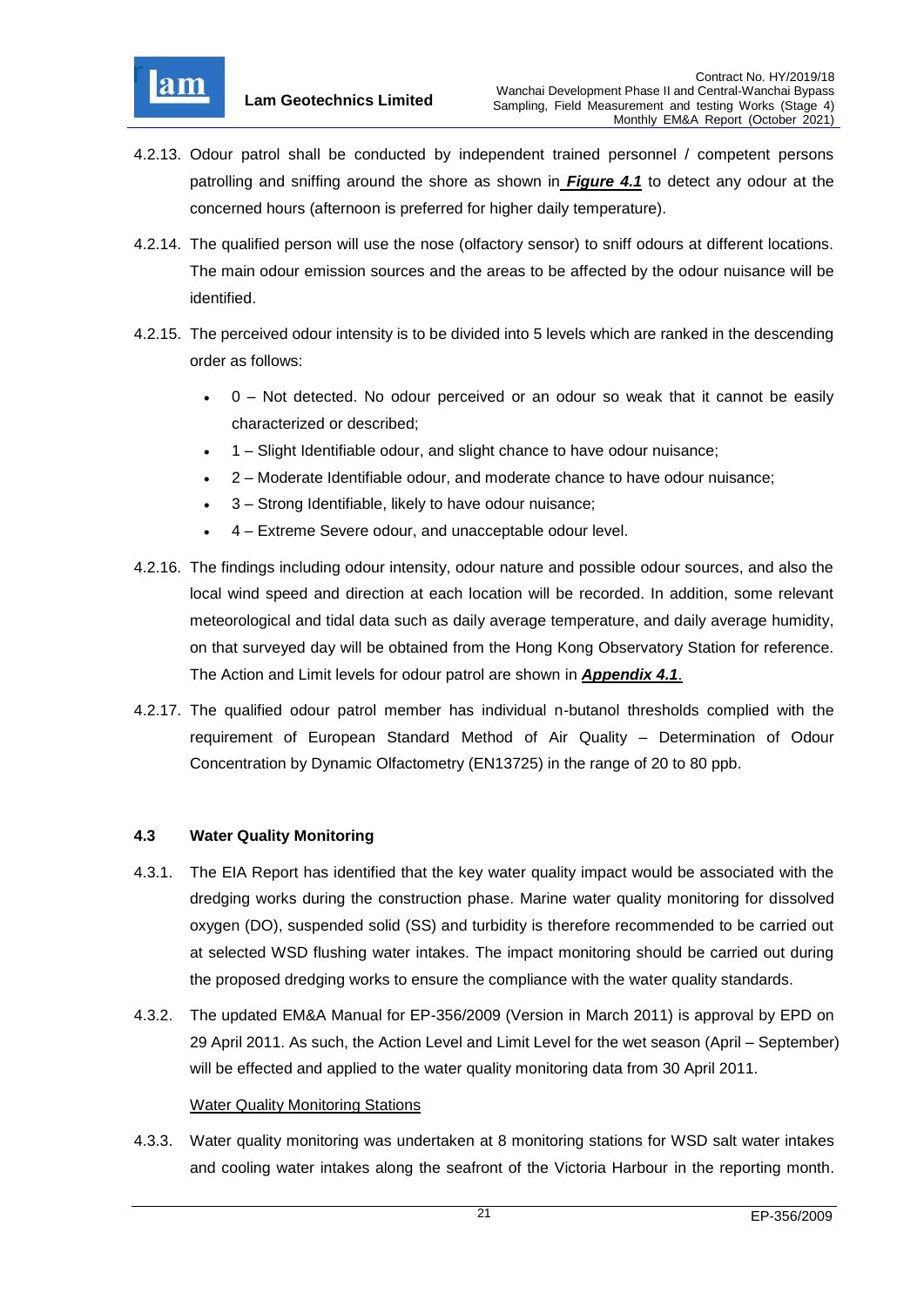

- 4.2.13. Odour patrol shall be conducted by independent trained personnel / competent persons patrolling and sniffing around the shore as shown in *[Figure 4.1](file:///C:/Users/kcchan/AppData/Roaming/Microsoft/Attachment/Fig%204.1_Location%20of%20monitoring%20stations.pdf)* to detect any odour at the concerned hours (afternoon is preferred for higher daily temperature).
- 4.2.14. The qualified person will use the nose (olfactory sensor) to sniff odours at different locations. The main odour emission sources and the areas to be affected by the odour nuisance will be identified.
- 4.2.15. The perceived odour intensity is to be divided into 5 levels which are ranked in the descending order as follows:
	- 0 Not detected. No odour perceived or an odour so weak that it cannot be easily characterized or described;
	- 1 Slight Identifiable odour, and slight chance to have odour nuisance;
	- 2 Moderate Identifiable odour, and moderate chance to have odour nuisance;
	- 3 Strong Identifiable, likely to have odour nuisance;
	- 4 Extreme Severe odour, and unacceptable odour level.
- 4.2.16. The findings including odour intensity, odour nature and possible odour sources, and also the local wind speed and direction at each location will be recorded. In addition, some relevant meteorological and tidal data such as daily average temperature, and daily average humidity, on that surveyed day will be obtained from the Hong Kong Observatory Station for reference. The Action and Limit levels for odour patrol are shown in *[Appendix 4.1](file:///C:/Users/kcchan/AppData/Roaming/Microsoft/Attachment/App4.1%20Action%20and%20Limit%20Level.pdf)*.
- 4.2.17. The qualified odour patrol member has individual n-butanol thresholds complied with the requirement of European Standard Method of Air Quality – Determination of Odour Concentration by Dynamic Olfactometry (EN13725) in the range of 20 to 80 ppb.

# <span id="page-21-0"></span>**4.3 Water Quality Monitoring**

- 4.3.1. The EIA Report has identified that the key water quality impact would be associated with the dredging works during the construction phase. Marine water quality monitoring for dissolved oxygen (DO), suspended solid (SS) and turbidity is therefore recommended to be carried out at selected WSD flushing water intakes. The impact monitoring should be carried out during the proposed dredging works to ensure the compliance with the water quality standards.
- 4.3.2. The updated EM&A Manual for EP-356/2009 (Version in March 2011) is approval by EPD on 29 April 2011. As such, the Action Level and Limit Level for the wet season (April – September) will be effected and applied to the water quality monitoring data from 30 April 2011.

#### Water Quality Monitoring Stations

4.3.3. Water quality monitoring was undertaken at 8 monitoring stations for WSD salt water intakes and cooling water intakes along the seafront of the Victoria Harbour in the reporting month.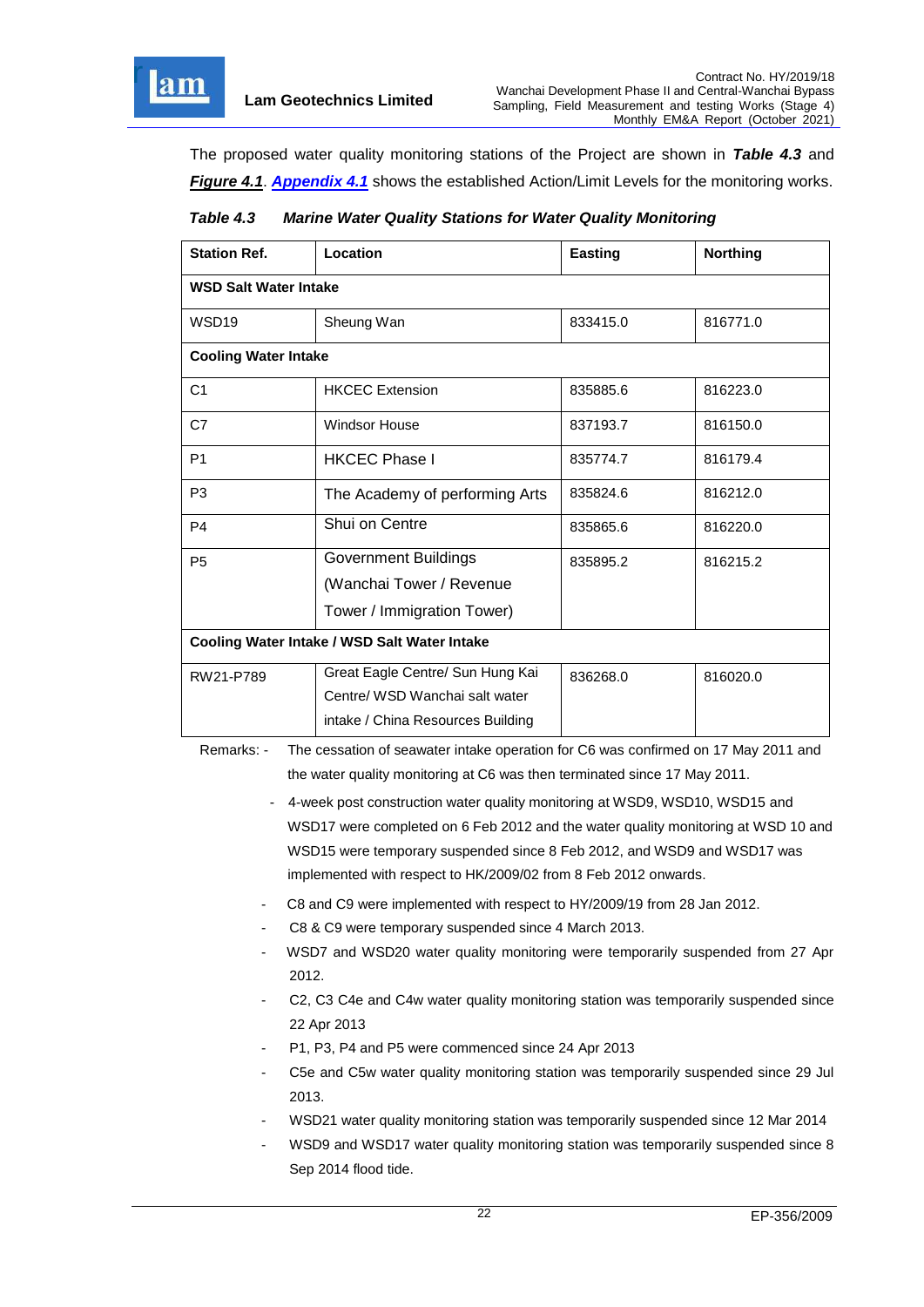

The proposed water quality monitoring stations of the Project are shown in *Table 4.3* and *[Figure 4.1](file:///C:/Users/kcchan/AppData/Roaming/Microsoft/Attachment/Fig%204.1_Location%20of%20monitoring%20stations.pdf)*. *[Appendix 4.1](file:///C:/Users/kcchan/AppData/Roaming/Microsoft/Attachment/App4.1%20Action%20and%20Limit%20Level.pdf)* shows the established Action/Limit Levels for the monitoring works.

<span id="page-22-0"></span>

| Table 4.3 | <b>Marine Water Quality Stations for Water Quality Monitoring</b> |
|-----------|-------------------------------------------------------------------|
|-----------|-------------------------------------------------------------------|

| <b>Station Ref.</b>                          | Location                          | <b>Easting</b> | <b>Northing</b> |  |  |  |
|----------------------------------------------|-----------------------------------|----------------|-----------------|--|--|--|
| <b>WSD Salt Water Intake</b>                 |                                   |                |                 |  |  |  |
| WSD <sub>19</sub>                            | Sheung Wan                        | 833415.0       | 816771.0        |  |  |  |
| <b>Cooling Water Intake</b>                  |                                   |                |                 |  |  |  |
| C <sub>1</sub>                               | <b>HKCEC Extension</b>            | 835885.6       | 816223.0        |  |  |  |
| C7                                           | Windsor House                     | 837193.7       | 816150.0        |  |  |  |
| P <sub>1</sub>                               | <b>HKCEC Phase I</b>              | 835774.7       | 816179.4        |  |  |  |
| P <sub>3</sub>                               | The Academy of performing Arts    | 835824.6       | 816212.0        |  |  |  |
| P <sub>4</sub>                               | Shui on Centre                    | 835865.6       | 816220.0        |  |  |  |
| P <sub>5</sub>                               | <b>Government Buildings</b>       | 835895.2       | 816215.2        |  |  |  |
|                                              | (Wanchai Tower / Revenue          |                |                 |  |  |  |
|                                              | Tower / Immigration Tower)        |                |                 |  |  |  |
| Cooling Water Intake / WSD Salt Water Intake |                                   |                |                 |  |  |  |
| RW21-P789                                    | Great Eagle Centre/ Sun Hung Kai  | 836268.0       | 816020.0        |  |  |  |
|                                              | Centre/ WSD Wanchai salt water    |                |                 |  |  |  |
|                                              | intake / China Resources Building |                |                 |  |  |  |

Remarks: - The cessation of seawater intake operation for C6 was confirmed on 17 May 2011 and the water quality monitoring at C6 was then terminated since 17 May 2011.

- 4-week post construction water quality monitoring at WSD9, WSD10, WSD15 and WSD17 were completed on 6 Feb 2012 and the water quality monitoring at WSD 10 and WSD15 were temporary suspended since 8 Feb 2012, and WSD9 and WSD17 was implemented with respect to HK/2009/02 from 8 Feb 2012 onwards.
- C8 and C9 were implemented with respect to HY/2009/19 from 28 Jan 2012.
- C8 & C9 were temporary suspended since 4 March 2013.
- WSD7 and WSD20 water quality monitoring were temporarily suspended from 27 Apr 2012.
- C2, C3 C4e and C4w water quality monitoring station was temporarily suspended since 22 Apr 2013
- P1, P3, P4 and P5 were commenced since 24 Apr 2013
- C5e and C5w water quality monitoring station was temporarily suspended since 29 Jul 2013.
- WSD21 water quality monitoring station was temporarily suspended since 12 Mar 2014
- WSD9 and WSD17 water quality monitoring station was temporarily suspended since 8 Sep 2014 flood tide.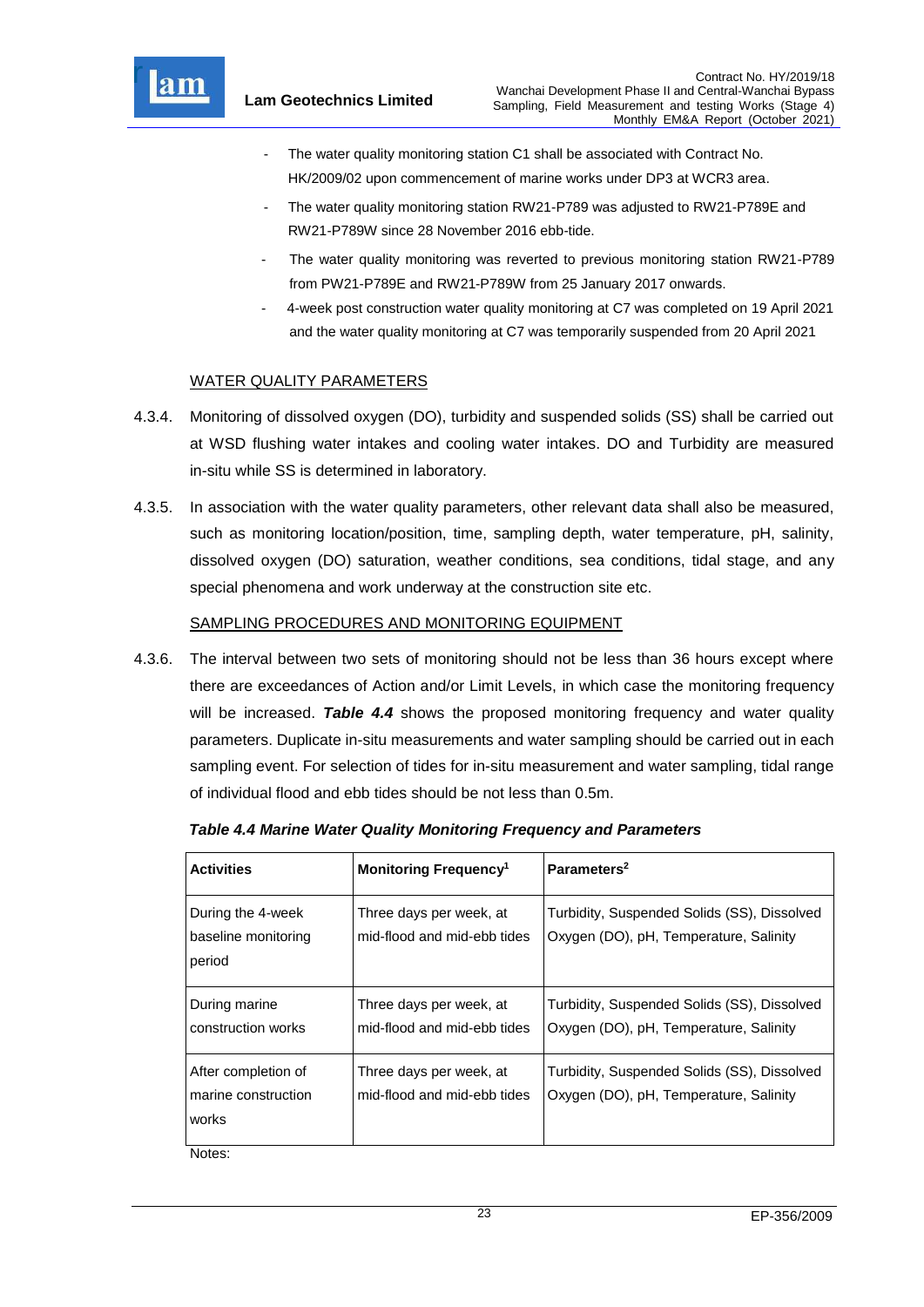

- The water quality monitoring station C1 shall be associated with Contract No. HK/2009/02 upon commencement of marine works under DP3 at WCR3 area.
- The water quality monitoring station RW21-P789 was adjusted to RW21-P789E and RW21-P789W since 28 November 2016 ebb-tide.
- The water quality monitoring was reverted to previous monitoring station RW21-P789 from PW21-P789E and RW21-P789W from 25 January 2017 onwards.
- 4-week post construction water quality monitoring at C7 was completed on 19 April 2021 and the water quality monitoring at C7 was temporarily suspended from 20 April 2021

# WATER QUALITY PARAMETERS

- 4.3.4. Monitoring of dissolved oxygen (DO), turbidity and suspended solids (SS) shall be carried out at WSD flushing water intakes and cooling water intakes. DO and Turbidity are measured in-situ while SS is determined in laboratory.
- 4.3.5. In association with the water quality parameters, other relevant data shall also be measured, such as monitoring location/position, time, sampling depth, water temperature, pH, salinity, dissolved oxygen (DO) saturation, weather conditions, sea conditions, tidal stage, and any special phenomena and work underway at the construction site etc.

## SAMPLING PROCEDURES AND MONITORING EQUIPMENT

4.3.6. The interval between two sets of monitoring should not be less than 36 hours except where there are exceedances of Action and/or Limit Levels, in which case the monitoring frequency will be increased. *Table 4.4* shows the proposed monitoring frequency and water quality parameters. Duplicate in-situ measurements and water sampling should be carried out in each sampling event. For selection of tides for in-situ measurement and water sampling, tidal range of individual flood and ebb tides should be not less than 0.5m.

| <b>Activities</b>                                   | <b>Monitoring Frequency<sup>1</sup></b>                | Parameters <sup>2</sup>                                                               |  |
|-----------------------------------------------------|--------------------------------------------------------|---------------------------------------------------------------------------------------|--|
| During the 4-week<br>baseline monitoring<br>period  | Three days per week, at<br>mid-flood and mid-ebb tides | Turbidity, Suspended Solids (SS), Dissolved<br>Oxygen (DO), pH, Temperature, Salinity |  |
| During marine<br>construction works                 | Three days per week, at<br>mid-flood and mid-ebb tides | Turbidity, Suspended Solids (SS), Dissolved<br>Oxygen (DO), pH, Temperature, Salinity |  |
| After completion of<br>marine construction<br>works | Three days per week, at<br>mid-flood and mid-ebb tides | Turbidity, Suspended Solids (SS), Dissolved<br>Oxygen (DO), pH, Temperature, Salinity |  |

<span id="page-23-0"></span>*Table 4.4 Marine Water Quality Monitoring Frequency and Parameters*

Notes: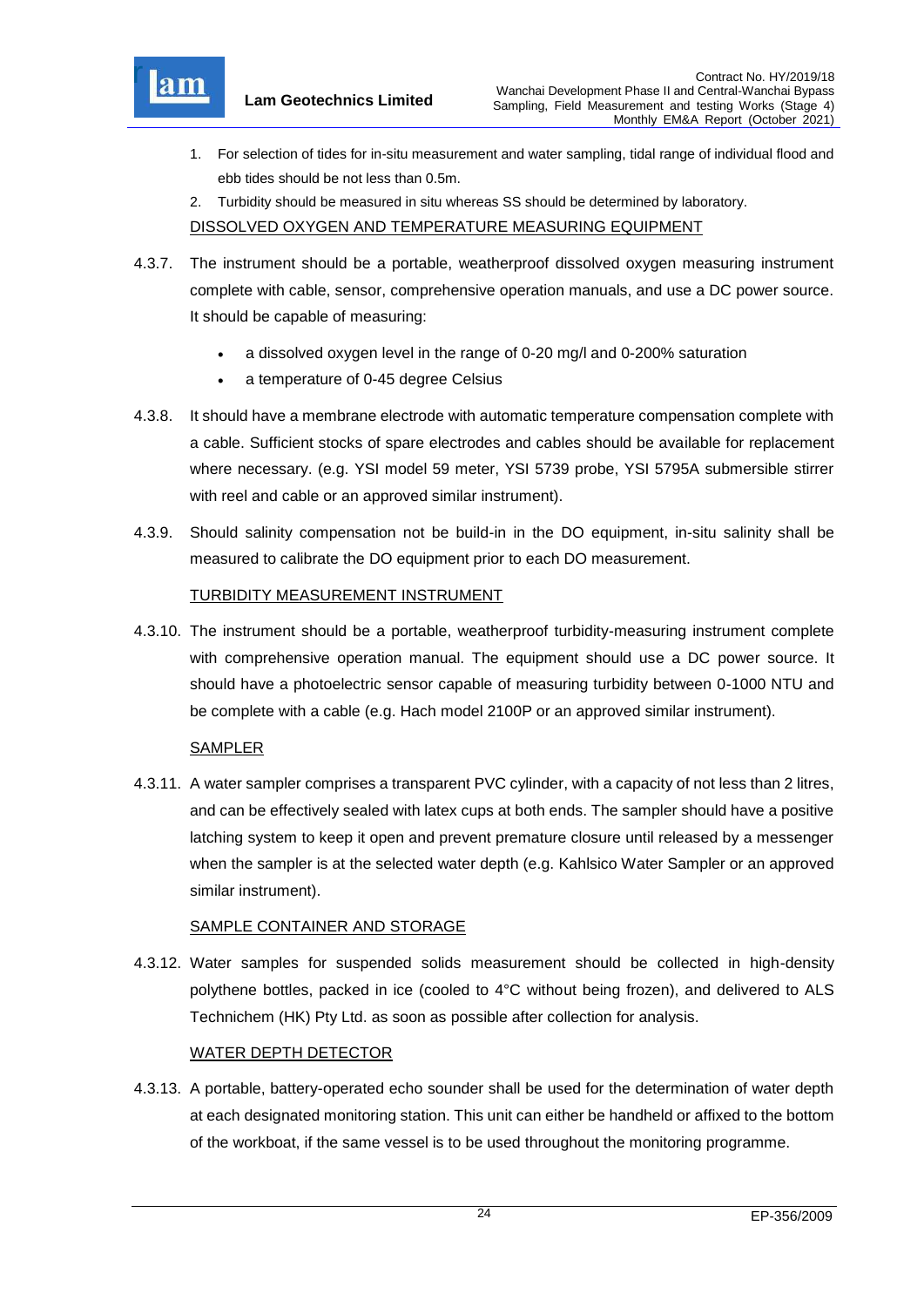

- 1. For selection of tides for in-situ measurement and water sampling, tidal range of individual flood and ebb tides should be not less than 0.5m.
- 2. Turbidity should be measured in situ whereas SS should be determined by laboratory.

DISSOLVED OXYGEN AND TEMPERATURE MEASURING EQUIPMENT

- 4.3.7. The instrument should be a portable, weatherproof dissolved oxygen measuring instrument complete with cable, sensor, comprehensive operation manuals, and use a DC power source. It should be capable of measuring:
	- a dissolved oxygen level in the range of 0-20 mg/l and 0-200% saturation
	- a temperature of 0-45 degree Celsius
- 4.3.8. It should have a membrane electrode with automatic temperature compensation complete with a cable. Sufficient stocks of spare electrodes and cables should be available for replacement where necessary. (e.g. YSI model 59 meter, YSI 5739 probe, YSI 5795A submersible stirrer with reel and cable or an approved similar instrument).
- 4.3.9. Should salinity compensation not be build-in in the DO equipment, in-situ salinity shall be measured to calibrate the DO equipment prior to each DO measurement.

# TURBIDITY MEASUREMENT INSTRUMENT

4.3.10. The instrument should be a portable, weatherproof turbidity-measuring instrument complete with comprehensive operation manual. The equipment should use a DC power source. It should have a photoelectric sensor capable of measuring turbidity between 0-1000 NTU and be complete with a cable (e.g. Hach model 2100P or an approved similar instrument).

# SAMPLER

4.3.11. A water sampler comprises a transparent PVC cylinder, with a capacity of not less than 2 litres, and can be effectively sealed with latex cups at both ends. The sampler should have a positive latching system to keep it open and prevent premature closure until released by a messenger when the sampler is at the selected water depth (e.g. Kahlsico Water Sampler or an approved similar instrument).

# SAMPLE CONTAINER AND STORAGE

4.3.12. Water samples for suspended solids measurement should be collected in high-density polythene bottles, packed in ice (cooled to 4°C without being frozen), and delivered to ALS Technichem (HK) Pty Ltd. as soon as possible after collection for analysis.

# WATER DEPTH DETECTOR

4.3.13. A portable, battery-operated echo sounder shall be used for the determination of water depth at each designated monitoring station. This unit can either be handheld or affixed to the bottom of the workboat, if the same vessel is to be used throughout the monitoring programme.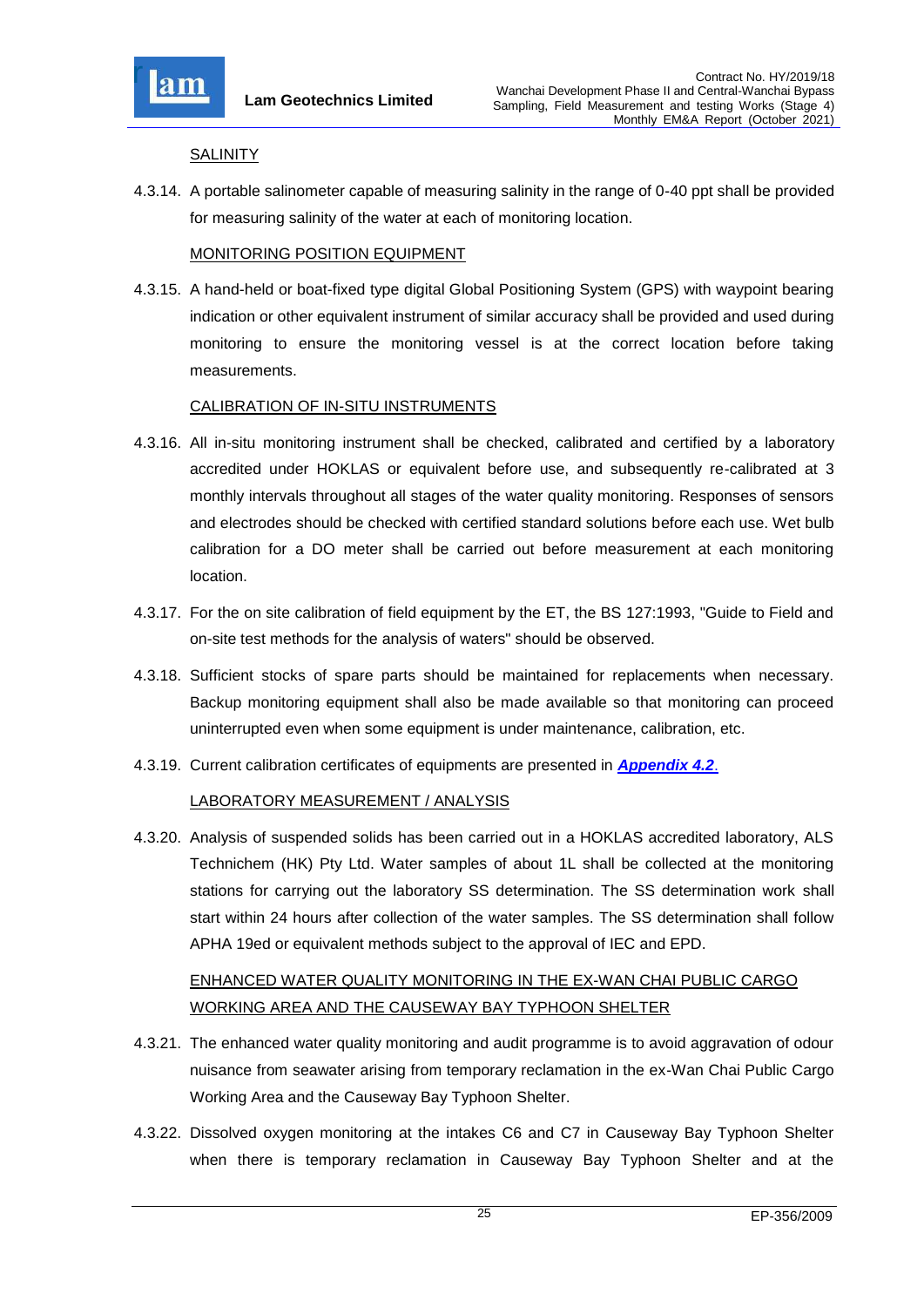

#### **SALINITY**

4.3.14. A portable salinometer capable of measuring salinity in the range of 0-40 ppt shall be provided for measuring salinity of the water at each of monitoring location.

## MONITORING POSITION EQUIPMENT

4.3.15. A hand-held or boat-fixed type digital Global Positioning System (GPS) with waypoint bearing indication or other equivalent instrument of similar accuracy shall be provided and used during monitoring to ensure the monitoring vessel is at the correct location before taking measurements.

## CALIBRATION OF IN-SITU INSTRUMENTS

- 4.3.16. All in-situ monitoring instrument shall be checked, calibrated and certified by a laboratory accredited under HOKLAS or equivalent before use, and subsequently re-calibrated at 3 monthly intervals throughout all stages of the water quality monitoring. Responses of sensors and electrodes should be checked with certified standard solutions before each use. Wet bulb calibration for a DO meter shall be carried out before measurement at each monitoring location.
- 4.3.17. For the on site calibration of field equipment by the ET, the BS 127:1993, "Guide to Field and on-site test methods for the analysis of waters" should be observed.
- 4.3.18. Sufficient stocks of spare parts should be maintained for replacements when necessary. Backup monitoring equipment shall also be made available so that monitoring can proceed uninterrupted even when some equipment is under maintenance, calibration, etc.
- 4.3.19. Current calibration certificates of equipments are presented in *[Appendix 4.2](file:///C:/Users/kcchan/AppData/Roaming/Microsoft/Attachment/App4.2%20Calibration%20Certificates.pdf)*.

## LABORATORY MEASUREMENT / ANALYSIS

4.3.20. Analysis of suspended solids has been carried out in a HOKLAS accredited laboratory, ALS Technichem (HK) Pty Ltd. Water samples of about 1L shall be collected at the monitoring stations for carrying out the laboratory SS determination. The SS determination work shall start within 24 hours after collection of the water samples. The SS determination shall follow APHA 19ed or equivalent methods subject to the approval of IEC and EPD.

# ENHANCED WATER QUALITY MONITORING IN THE EX-WAN CHAI PUBLIC CARGO WORKING AREA AND THE CAUSEWAY BAY TYPHOON SHELTER

- 4.3.21. The enhanced water quality monitoring and audit programme is to avoid aggravation of odour nuisance from seawater arising from temporary reclamation in the ex-Wan Chai Public Cargo Working Area and the Causeway Bay Typhoon Shelter.
- 4.3.22. Dissolved oxygen monitoring at the intakes C6 and C7 in Causeway Bay Typhoon Shelter when there is temporary reclamation in Causeway Bay Typhoon Shelter and at the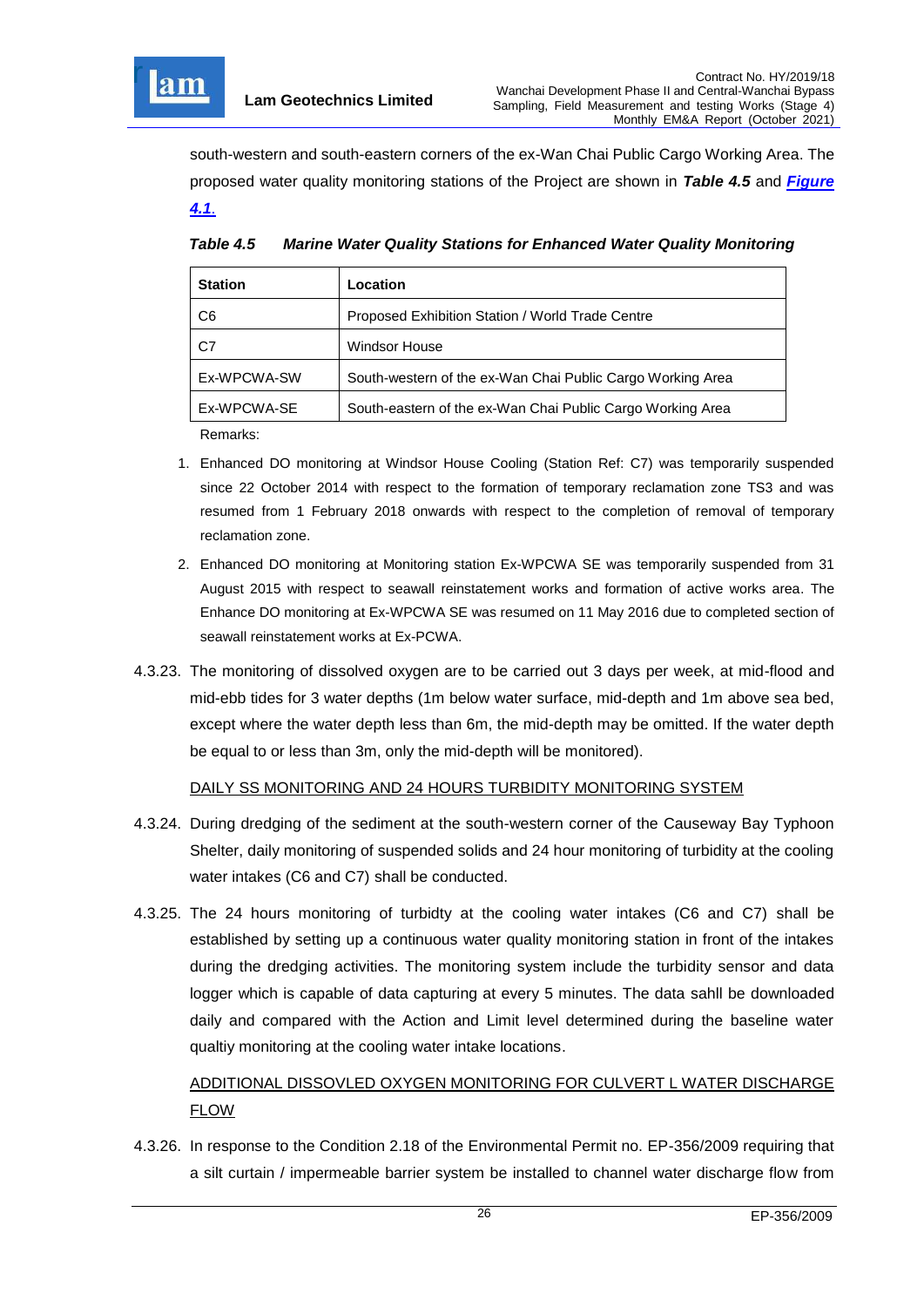

south-western and south-eastern corners of the ex-Wan Chai Public Cargo Working Area. The proposed water quality monitoring stations of the Project are shown in *Table 4.5* and *[Figure](file:///C:/Users/kcchan/AppData/Roaming/Microsoft/Attachment/Fig%204.1_Location%20of%20monitoring%20stations.pdf) [4.1](file:///C:/Users/kcchan/AppData/Roaming/Microsoft/Attachment/Fig%204.1_Location%20of%20monitoring%20stations.pdf)*.

| <b>Station</b> | Location                                                   |  |
|----------------|------------------------------------------------------------|--|
| C <sub>6</sub> | Proposed Exhibition Station / World Trade Centre           |  |
| C7             | <b>Windsor House</b>                                       |  |
| Ex-WPCWA-SW    | South-western of the ex-Wan Chai Public Cargo Working Area |  |
| Ex-WPCWA-SE    | South-eastern of the ex-Wan Chai Public Cargo Working Area |  |
| $D = 22$       |                                                            |  |

<span id="page-26-0"></span>*Table 4.5 Marine Water Quality Stations for Enhanced Water Quality Monitoring*

Remarks:

- 1. Enhanced DO monitoring at Windsor House Cooling (Station Ref: C7) was temporarily suspended since 22 October 2014 with respect to the formation of temporary reclamation zone TS3 and was resumed from 1 February 2018 onwards with respect to the completion of removal of temporary reclamation zone.
- 2. Enhanced DO monitoring at Monitoring station Ex-WPCWA SE was temporarily suspended from 31 August 2015 with respect to seawall reinstatement works and formation of active works area. The Enhance DO monitoring at Ex-WPCWA SE was resumed on 11 May 2016 due to completed section of seawall reinstatement works at Ex-PCWA.
- 4.3.23. The monitoring of dissolved oxygen are to be carried out 3 days per week, at mid-flood and mid-ebb tides for 3 water depths (1m below water surface, mid-depth and 1m above sea bed, except where the water depth less than 6m, the mid-depth may be omitted. If the water depth be equal to or less than 3m, only the mid-depth will be monitored).

# DAILY SS MONITORING AND 24 HOURS TURBIDITY MONITORING SYSTEM

- 4.3.24. During dredging of the sediment at the south-western corner of the Causeway Bay Typhoon Shelter, daily monitoring of suspended solids and 24 hour monitoring of turbidity at the cooling water intakes (C6 and C7) shall be conducted.
- 4.3.25. The 24 hours monitoring of turbidty at the cooling water intakes (C6 and C7) shall be established by setting up a continuous water quality monitoring station in front of the intakes during the dredging activities. The monitoring system include the turbidity sensor and data logger which is capable of data capturing at every 5 minutes. The data sahll be downloaded daily and compared with the Action and Limit level determined during the baseline water qualtiy monitoring at the cooling water intake locations.

# ADDITIONAL DISSOVLED OXYGEN MONITORING FOR CULVERT L WATER DISCHARGE FLOW

4.3.26. In response to the Condition 2.18 of the Environmental Permit no. EP-356/2009 requiring that a silt curtain / impermeable barrier system be installed to channel water discharge flow from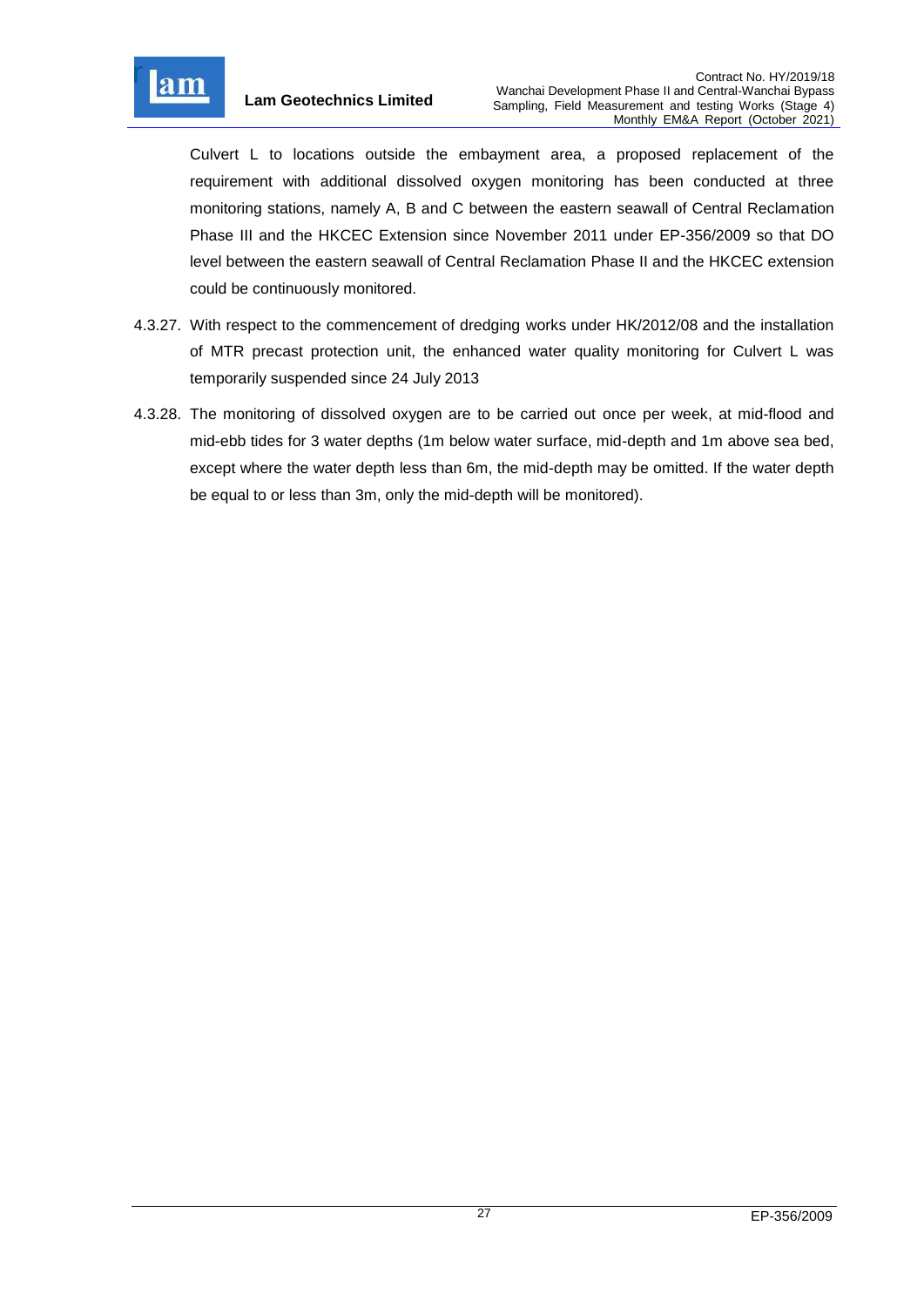

Culvert L to locations outside the embayment area, a proposed replacement of the requirement with additional dissolved oxygen monitoring has been conducted at three monitoring stations, namely A, B and C between the eastern seawall of Central Reclamation Phase III and the HKCEC Extension since November 2011 under EP-356/2009 so that DO level between the eastern seawall of Central Reclamation Phase II and the HKCEC extension could be continuously monitored.

- 4.3.27. With respect to the commencement of dredging works under HK/2012/08 and the installation of MTR precast protection unit, the enhanced water quality monitoring for Culvert L was temporarily suspended since 24 July 2013
- 4.3.28. The monitoring of dissolved oxygen are to be carried out once per week, at mid-flood and mid-ebb tides for 3 water depths (1m below water surface, mid-depth and 1m above sea bed, except where the water depth less than 6m, the mid-depth may be omitted. If the water depth be equal to or less than 3m, only the mid-depth will be monitored).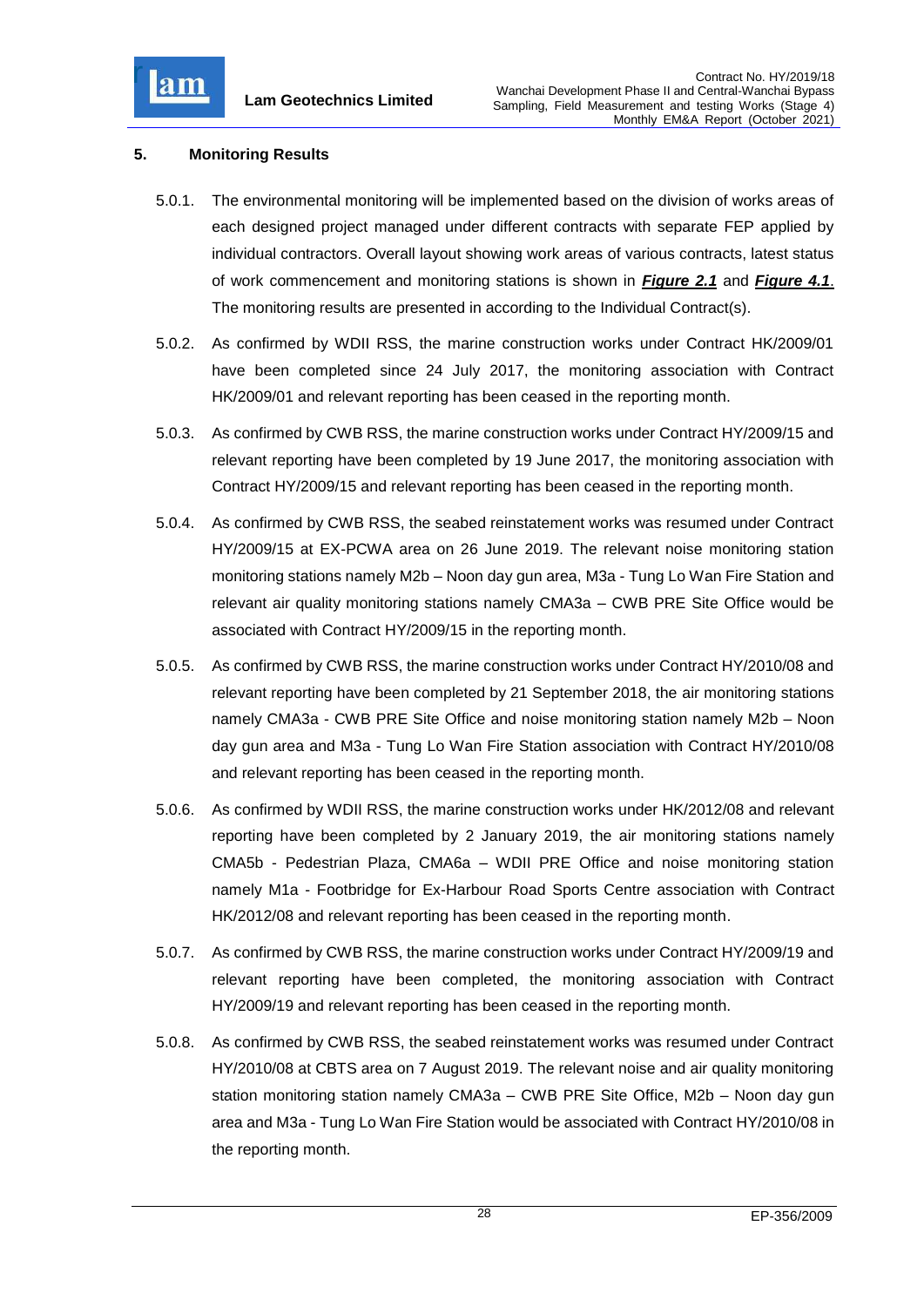

# <span id="page-28-0"></span>**5. Monitoring Results**

- 5.0.1. The environmental monitoring will be implemented based on the division of works areas of each designed project managed under different contracts with separate FEP applied by individual contractors. Overall layout showing work areas of various contracts, latest status of work commencement and monitoring stations is shown in *[Figure 2.1](file:///C:/Users/kcchan/AppData/Roaming/Microsoft/Attachment/Fig%202.1_Project%20Layout.pdf)* and *[Figure 4.1](file:///C:/Users/kcchan/AppData/Roaming/Microsoft/Attachment/Fig%204.1_Location%20of%20monitoring%20stations.pdf)*. The monitoring results are presented in according to the Individual Contract(s).
- 5.0.2. As confirmed by WDII RSS, the marine construction works under Contract HK/2009/01 have been completed since 24 July 2017, the monitoring association with Contract HK/2009/01 and relevant reporting has been ceased in the reporting month.
- 5.0.3. As confirmed by CWB RSS, the marine construction works under Contract HY/2009/15 and relevant reporting have been completed by 19 June 2017, the monitoring association with Contract HY/2009/15 and relevant reporting has been ceased in the reporting month.
- 5.0.4. As confirmed by CWB RSS, the seabed reinstatement works was resumed under Contract HY/2009/15 at EX-PCWA area on 26 June 2019. The relevant noise monitoring station monitoring stations namely M2b – Noon day gun area, M3a - Tung Lo Wan Fire Station and relevant air quality monitoring stations namely CMA3a – CWB PRE Site Office would be associated with Contract HY/2009/15 in the reporting month.
- 5.0.5. As confirmed by CWB RSS, the marine construction works under Contract HY/2010/08 and relevant reporting have been completed by 21 September 2018, the air monitoring stations namely CMA3a - CWB PRE Site Office and noise monitoring station namely M2b – Noon day gun area and M3a - Tung Lo Wan Fire Station association with Contract HY/2010/08 and relevant reporting has been ceased in the reporting month.
- 5.0.6. As confirmed by WDII RSS, the marine construction works under HK/2012/08 and relevant reporting have been completed by 2 January 2019, the air monitoring stations namely CMA5b - Pedestrian Plaza, CMA6a – WDII PRE Office and noise monitoring station namely M1a - Footbridge for Ex-Harbour Road Sports Centre association with Contract HK/2012/08 and relevant reporting has been ceased in the reporting month.
- 5.0.7. As confirmed by CWB RSS, the marine construction works under Contract HY/2009/19 and relevant reporting have been completed, the monitoring association with Contract HY/2009/19 and relevant reporting has been ceased in the reporting month.
- 5.0.8. As confirmed by CWB RSS, the seabed reinstatement works was resumed under Contract HY/2010/08 at CBTS area on 7 August 2019. The relevant noise and air quality monitoring station monitoring station namely CMA3a – CWB PRE Site Office, M2b – Noon day gun area and M3a - Tung Lo Wan Fire Station would be associated with Contract HY/2010/08 in the reporting month.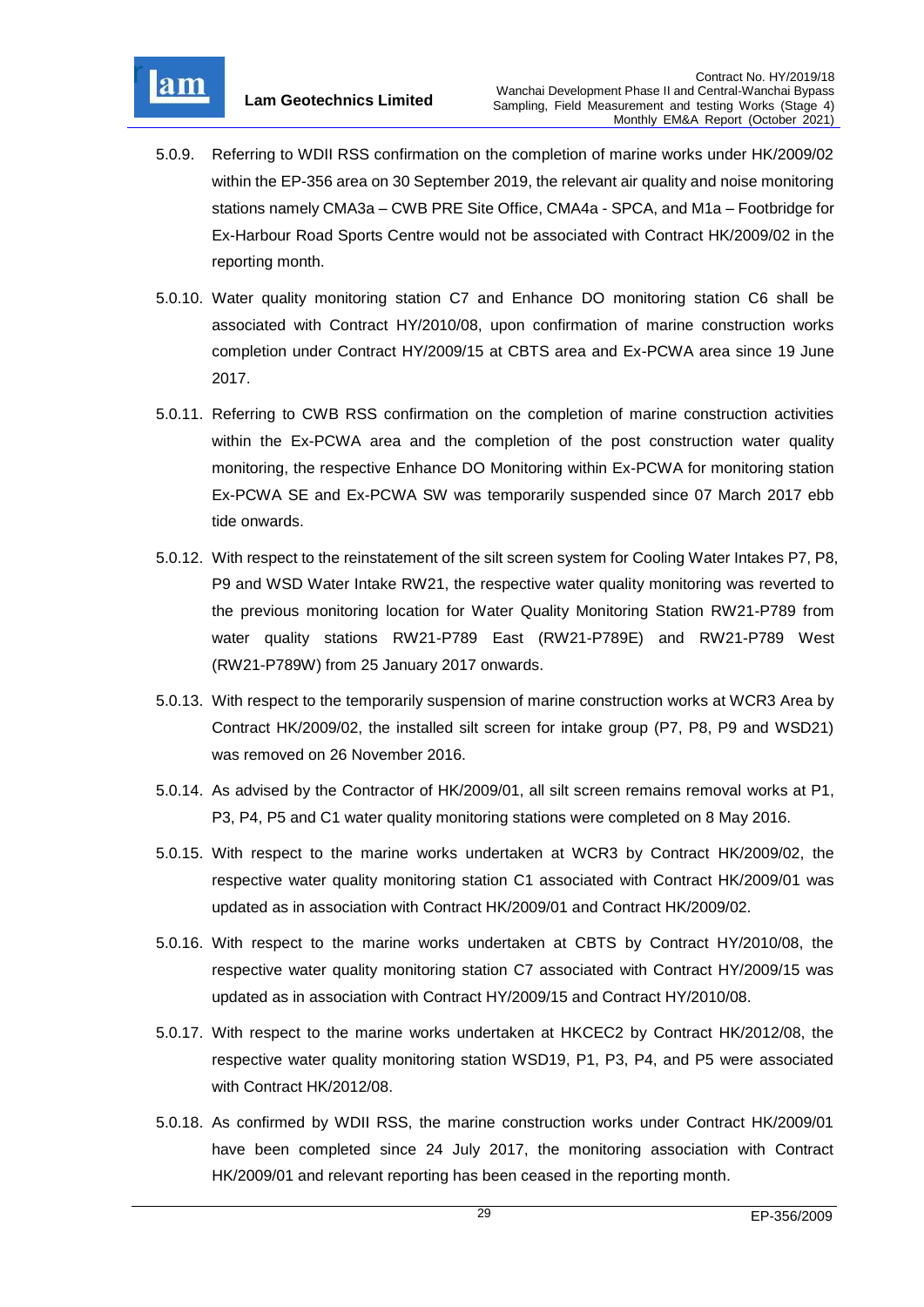

- 5.0.9. Referring to WDII RSS confirmation on the completion of marine works under HK/2009/02 within the EP-356 area on 30 September 2019, the relevant air quality and noise monitoring stations namely CMA3a – CWB PRE Site Office, CMA4a - SPCA, and M1a – Footbridge for Ex-Harbour Road Sports Centre would not be associated with Contract HK/2009/02 in the reporting month.
- 5.0.10. Water quality monitoring station C7 and Enhance DO monitoring station C6 shall be associated with Contract HY/2010/08, upon confirmation of marine construction works completion under Contract HY/2009/15 at CBTS area and Ex-PCWA area since 19 June 2017.
- 5.0.11. Referring to CWB RSS confirmation on the completion of marine construction activities within the Ex-PCWA area and the completion of the post construction water quality monitoring, the respective Enhance DO Monitoring within Ex-PCWA for monitoring station Ex-PCWA SE and Ex-PCWA SW was temporarily suspended since 07 March 2017 ebb tide onwards.
- 5.0.12. With respect to the reinstatement of the silt screen system for Cooling Water Intakes P7, P8, P9 and WSD Water Intake RW21, the respective water quality monitoring was reverted to the previous monitoring location for Water Quality Monitoring Station RW21-P789 from water quality stations RW21-P789 East (RW21-P789E) and RW21-P789 West (RW21-P789W) from 25 January 2017 onwards.
- 5.0.13. With respect to the temporarily suspension of marine construction works at WCR3 Area by Contract HK/2009/02, the installed silt screen for intake group (P7, P8, P9 and WSD21) was removed on 26 November 2016.
- 5.0.14. As advised by the Contractor of HK/2009/01, all silt screen remains removal works at P1, P3, P4, P5 and C1 water quality monitoring stations were completed on 8 May 2016.
- 5.0.15. With respect to the marine works undertaken at WCR3 by Contract HK/2009/02, the respective water quality monitoring station C1 associated with Contract HK/2009/01 was updated as in association with Contract HK/2009/01 and Contract HK/2009/02.
- 5.0.16. With respect to the marine works undertaken at CBTS by Contract HY/2010/08, the respective water quality monitoring station C7 associated with Contract HY/2009/15 was updated as in association with Contract HY/2009/15 and Contract HY/2010/08.
- 5.0.17. With respect to the marine works undertaken at HKCEC2 by Contract HK/2012/08, the respective water quality monitoring station WSD19, P1, P3, P4, and P5 were associated with Contract HK/2012/08.
- 5.0.18. As confirmed by WDII RSS, the marine construction works under Contract HK/2009/01 have been completed since 24 July 2017, the monitoring association with Contract HK/2009/01 and relevant reporting has been ceased in the reporting month.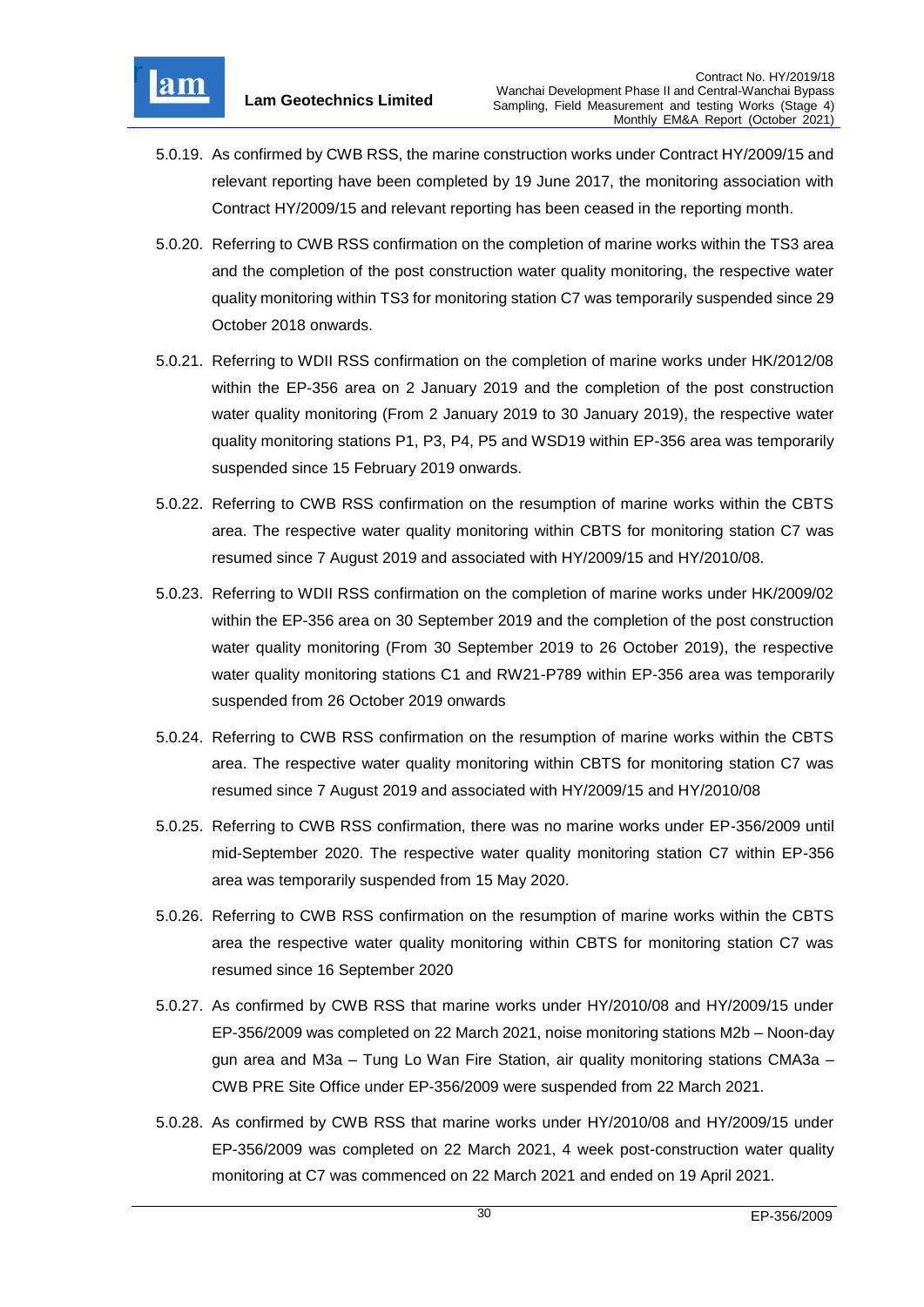

- 5.0.19. As confirmed by CWB RSS, the marine construction works under Contract HY/2009/15 and relevant reporting have been completed by 19 June 2017, the monitoring association with Contract HY/2009/15 and relevant reporting has been ceased in the reporting month.
- 5.0.20. Referring to CWB RSS confirmation on the completion of marine works within the TS3 area and the completion of the post construction water quality monitoring, the respective water quality monitoring within TS3 for monitoring station C7 was temporarily suspended since 29 October 2018 onwards.
- 5.0.21. Referring to WDII RSS confirmation on the completion of marine works under HK/2012/08 within the EP-356 area on 2 January 2019 and the completion of the post construction water quality monitoring (From 2 January 2019 to 30 January 2019), the respective water quality monitoring stations P1, P3, P4, P5 and WSD19 within EP-356 area was temporarily suspended since 15 February 2019 onwards.
- 5.0.22. Referring to CWB RSS confirmation on the resumption of marine works within the CBTS area. The respective water quality monitoring within CBTS for monitoring station C7 was resumed since 7 August 2019 and associated with HY/2009/15 and HY/2010/08.
- 5.0.23. Referring to WDII RSS confirmation on the completion of marine works under HK/2009/02 within the EP-356 area on 30 September 2019 and the completion of the post construction water quality monitoring (From 30 September 2019 to 26 October 2019), the respective water quality monitoring stations C1 and RW21-P789 within EP-356 area was temporarily suspended from 26 October 2019 onwards
- 5.0.24. Referring to CWB RSS confirmation on the resumption of marine works within the CBTS area. The respective water quality monitoring within CBTS for monitoring station C7 was resumed since 7 August 2019 and associated with HY/2009/15 and HY/2010/08
- 5.0.25. Referring to CWB RSS confirmation, there was no marine works under EP-356/2009 until mid-September 2020. The respective water quality monitoring station C7 within EP-356 area was temporarily suspended from 15 May 2020.
- 5.0.26. Referring to CWB RSS confirmation on the resumption of marine works within the CBTS area the respective water quality monitoring within CBTS for monitoring station C7 was resumed since 16 September 2020
- 5.0.27. As confirmed by CWB RSS that marine works under HY/2010/08 and HY/2009/15 under EP-356/2009 was completed on 22 March 2021, noise monitoring stations M2b – Noon-day gun area and M3a – Tung Lo Wan Fire Station, air quality monitoring stations CMA3a – CWB PRE Site Office under EP-356/2009 were suspended from 22 March 2021.
- 5.0.28. As confirmed by CWB RSS that marine works under HY/2010/08 and HY/2009/15 under EP-356/2009 was completed on 22 March 2021, 4 week post-construction water quality monitoring at C7 was commenced on 22 March 2021 and ended on 19 April 2021.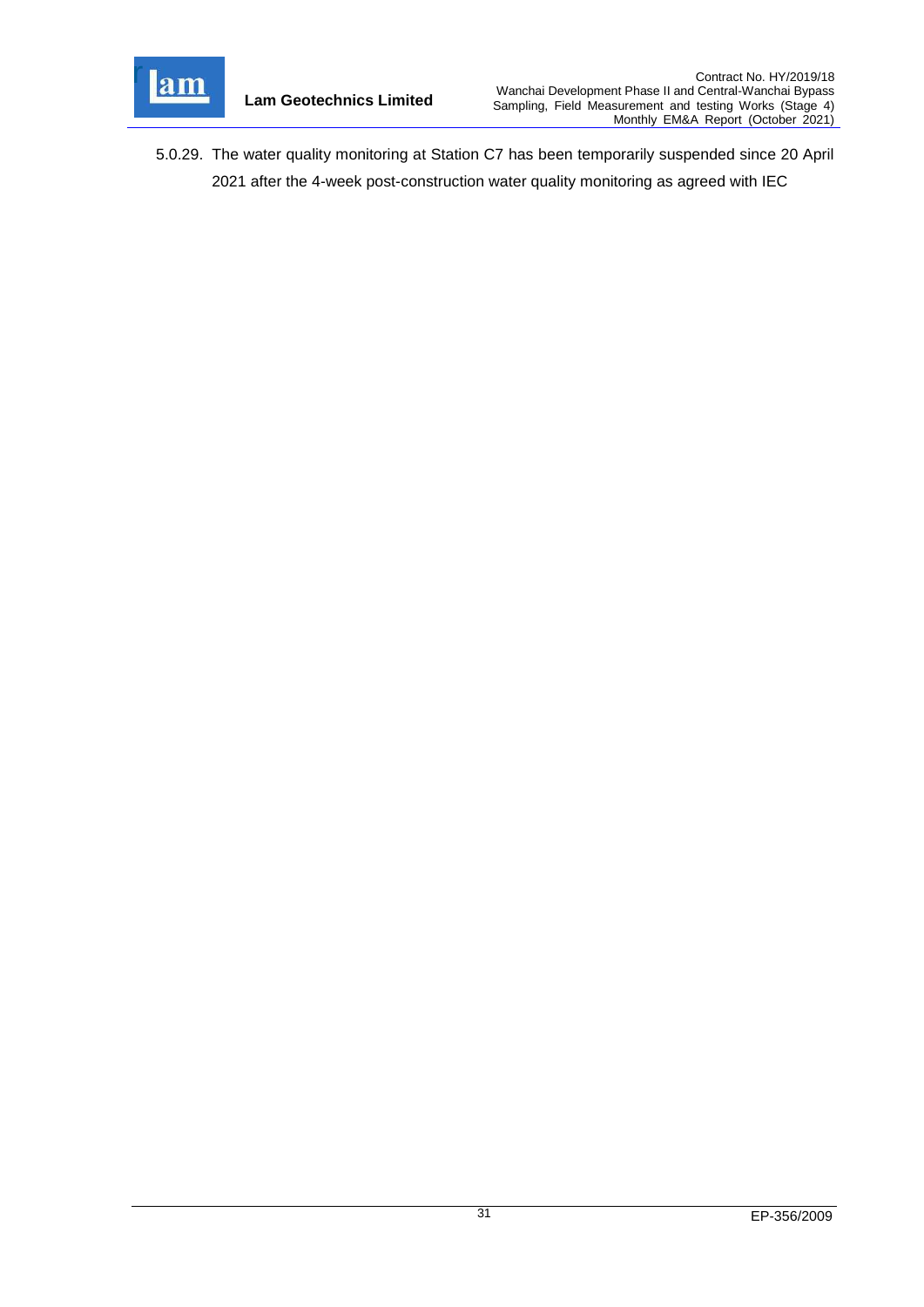

5.0.29. The water quality monitoring at Station C7 has been temporarily suspended since 20 April 2021 after the 4-week post-construction water quality monitoring as agreed with IEC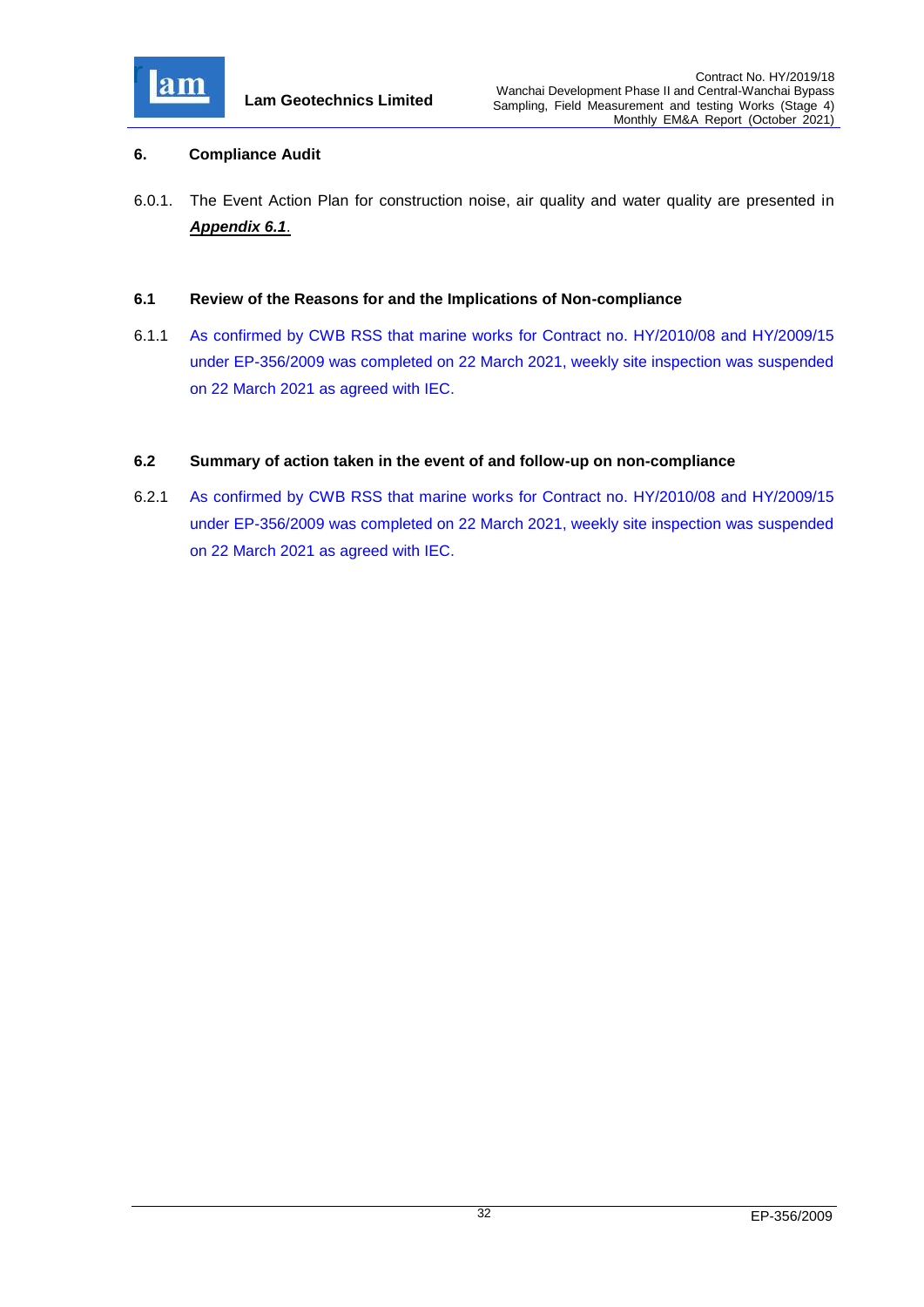

## <span id="page-32-0"></span>**6. Compliance Audit**

6.0.1. The Event Action Plan for construction noise, air quality and water quality are presented in *[Appendix 6.1](file:///C:/Users/kcchan/AppData/Roaming/Microsoft/Attachment/App6.1_Event%20and%20Action%20Plan.pdf)*.

#### <span id="page-32-1"></span>**6.1 Review of the Reasons for and the Implications of Non-compliance**

6.1.1 As confirmed by CWB RSS that marine works for Contract no. HY/2010/08 and HY/2009/15 under EP-356/2009 was completed on 22 March 2021, weekly site inspection was suspended on 22 March 2021 as agreed with IEC.

#### <span id="page-32-2"></span>**6.2 Summary of action taken in the event of and follow-up on non-compliance**

6.2.1 As confirmed by CWB RSS that marine works for Contract no. HY/2010/08 and HY/2009/15 under EP-356/2009 was completed on 22 March 2021, weekly site inspection was suspended on 22 March 2021 as agreed with IEC.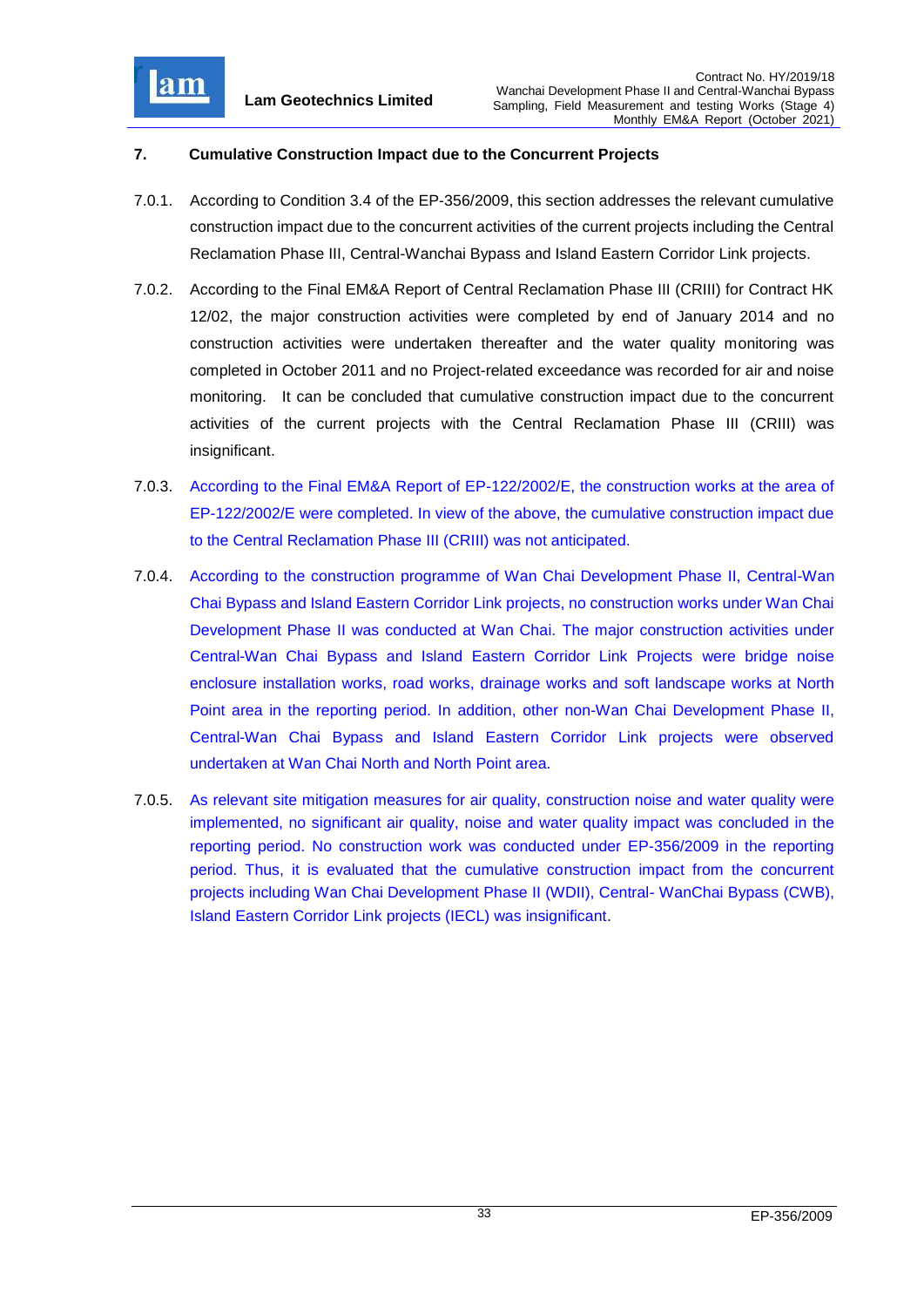

# <span id="page-33-0"></span>**7. Cumulative Construction Impact due to the Concurrent Projects**

- 7.0.1. According to Condition 3.4 of the EP-356/2009, this section addresses the relevant cumulative construction impact due to the concurrent activities of the current projects including the Central Reclamation Phase III, Central-Wanchai Bypass and Island Eastern Corridor Link projects.
- 7.0.2. According to the Final EM&A Report of Central Reclamation Phase III (CRIII) for Contract HK 12/02, the major construction activities were completed by end of January 2014 and no construction activities were undertaken thereafter and the water quality monitoring was completed in October 2011 and no Project-related exceedance was recorded for air and noise monitoring. It can be concluded that cumulative construction impact due to the concurrent activities of the current projects with the Central Reclamation Phase III (CRIII) was insignificant.
- 7.0.3. According to the Final EM&A Report of EP-122/2002/E, the construction works at the area of EP-122/2002/E were completed. In view of the above, the cumulative construction impact due to the Central Reclamation Phase III (CRIII) was not anticipated.
- 7.0.4. According to the construction programme of Wan Chai Development Phase II, Central-Wan Chai Bypass and Island Eastern Corridor Link projects, no construction works under Wan Chai Development Phase II was conducted at Wan Chai. The major construction activities under Central-Wan Chai Bypass and Island Eastern Corridor Link Projects were bridge noise enclosure installation works, road works, drainage works and soft landscape works at North Point area in the reporting period. In addition, other non-Wan Chai Development Phase II, Central-Wan Chai Bypass and Island Eastern Corridor Link projects were observed undertaken at Wan Chai North and North Point area.
- 7.0.5. As relevant site mitigation measures for air quality, construction noise and water quality were implemented, no significant air quality, noise and water quality impact was concluded in the reporting period. No construction work was conducted under EP-356/2009 in the reporting period. Thus, it is evaluated that the cumulative construction impact from the concurrent projects including Wan Chai Development Phase II (WDII), Central- WanChai Bypass (CWB), Island Eastern Corridor Link projects (IECL) was insignificant.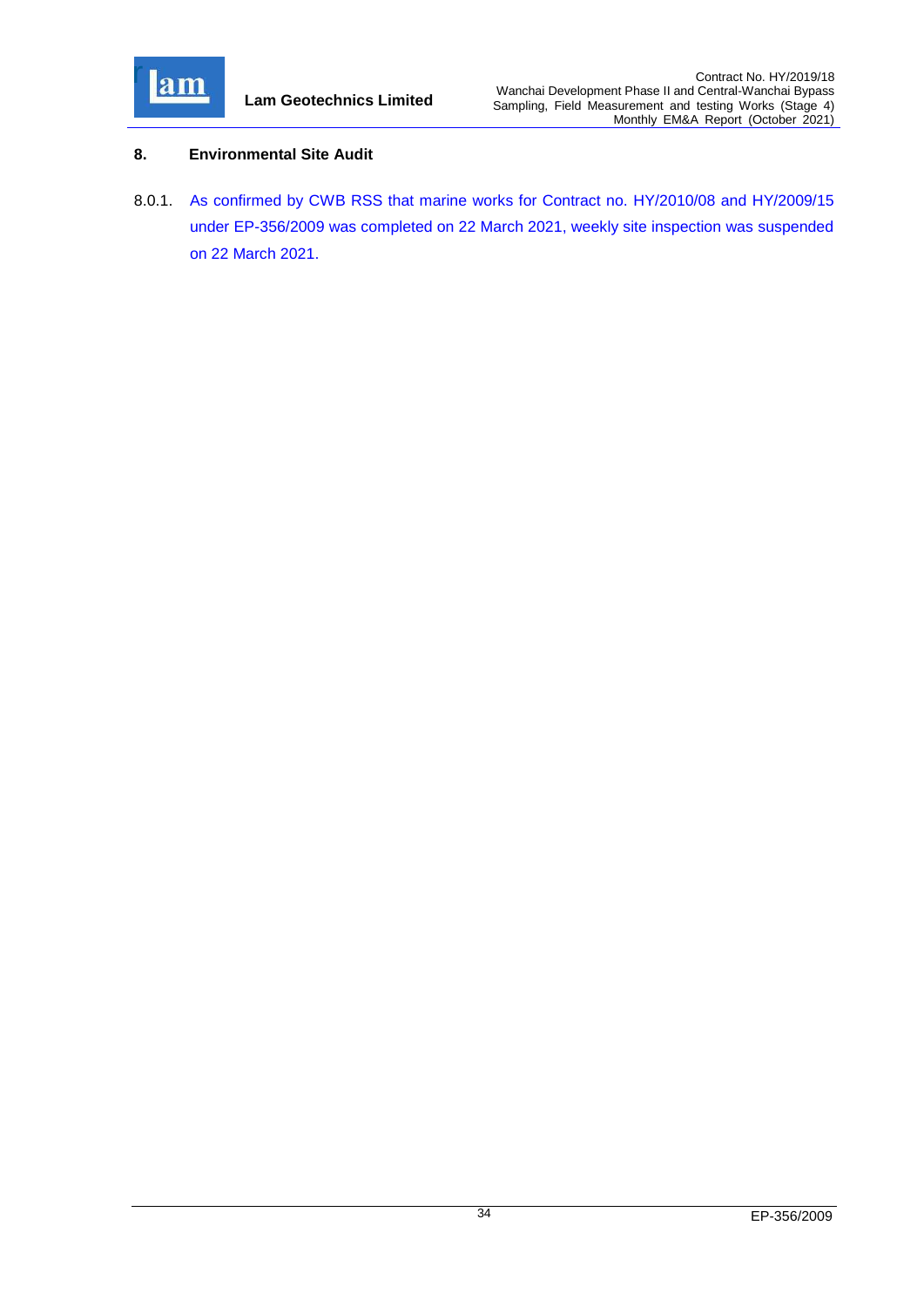

# <span id="page-34-0"></span>**8. Environmental Site Audit**

8.0.1. As confirmed by CWB RSS that marine works for Contract no. HY/2010/08 and HY/2009/15 under EP-356/2009 was completed on 22 March 2021, weekly site inspection was suspended on 22 March 2021.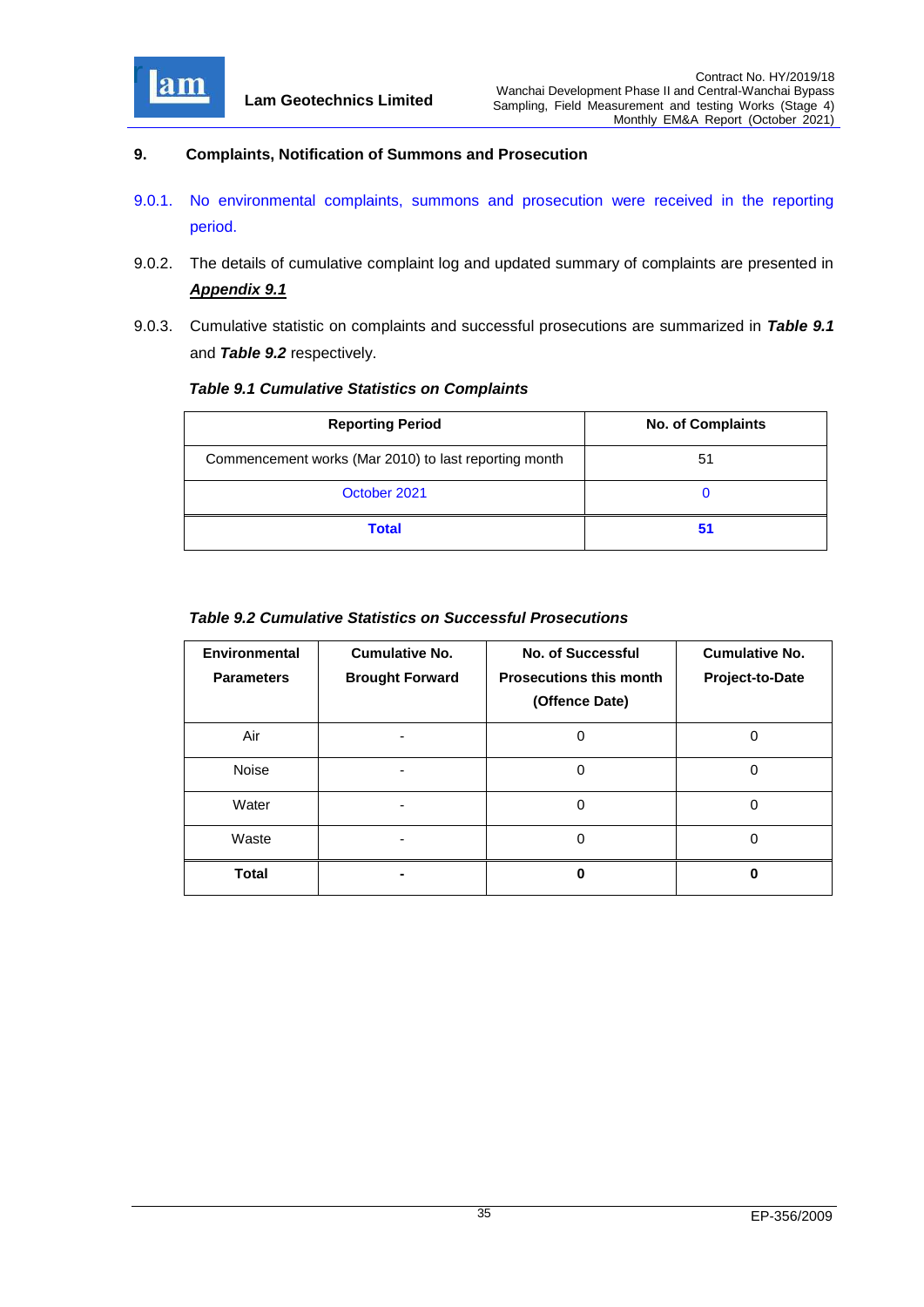

## <span id="page-35-0"></span>**9. Complaints, Notification of Summons and Prosecution**

- 9.0.1. No environmental complaints, summons and prosecution were received in the reporting period.
- 9.0.2. The details of cumulative complaint log and updated summary of complaints are presented in *[Appendix 9.1](file:///C:/Users/kcchan/AppData/Roaming/Microsoft/Attachment/App9.1%20Complaint%20Log.pdf)*
- 9.0.3. Cumulative statistic on complaints and successful prosecutions are summarized in *Table 9.1* and *Table 9.2* respectively.

## <span id="page-35-1"></span>*Table 9.1 Cumulative Statistics on Complaints*

| <b>Reporting Period</b>                               | <b>No. of Complaints</b> |  |
|-------------------------------------------------------|--------------------------|--|
| Commencement works (Mar 2010) to last reporting month | 51                       |  |
| October 2021                                          | O                        |  |
| <b>Total</b>                                          | 51                       |  |

# <span id="page-35-2"></span>*Table 9.2 Cumulative Statistics on Successful Prosecutions*

| Environmental<br><b>Parameters</b> | <b>Cumulative No.</b><br><b>Brought Forward</b> | <b>No. of Successful</b><br><b>Prosecutions this month</b><br>(Offence Date) | <b>Cumulative No.</b><br>Project-to-Date |
|------------------------------------|-------------------------------------------------|------------------------------------------------------------------------------|------------------------------------------|
| Air                                |                                                 | O                                                                            | ი                                        |
| <b>Noise</b>                       |                                                 | 0                                                                            | 0                                        |
| Water                              |                                                 | 0                                                                            | 0                                        |
| Waste                              |                                                 | 0                                                                            | 0                                        |
| <b>Total</b>                       |                                                 | ŋ                                                                            | ŋ                                        |